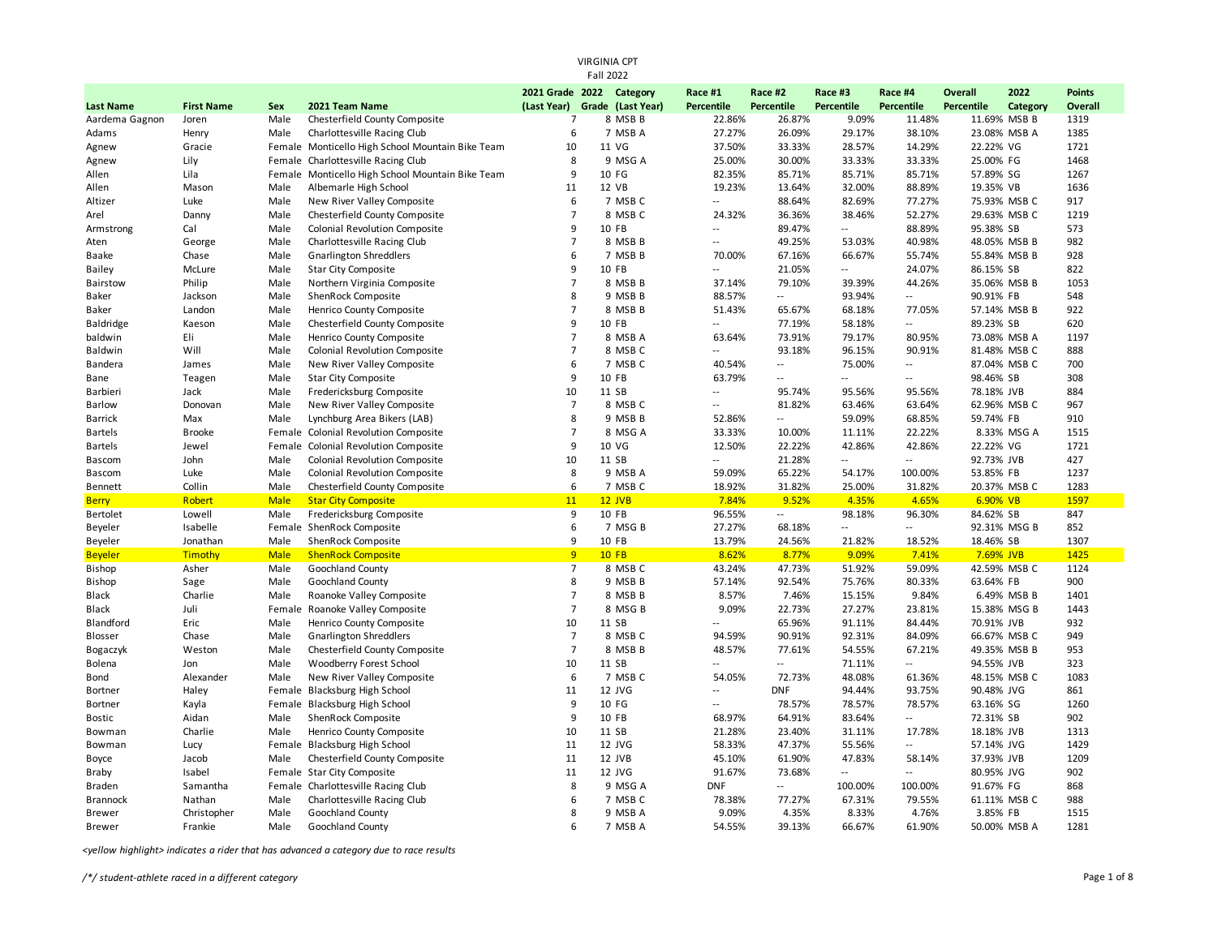| Fall 2022        |                   |             |                                                  |                 |  |                               |                          |                          |                          |                          |              |              |               |
|------------------|-------------------|-------------|--------------------------------------------------|-----------------|--|-------------------------------|--------------------------|--------------------------|--------------------------|--------------------------|--------------|--------------|---------------|
|                  |                   |             |                                                  | 2021 Grade 2022 |  | Category                      | Race #1                  | Race #2                  | Race #3                  | Race #4                  | Overall      | 2022         | <b>Points</b> |
| <b>Last Name</b> | <b>First Name</b> | Sex         | 2021 Team Name                                   |                 |  | (Last Year) Grade (Last Year) | <b>Percentile</b>        | <b>Percentile</b>        | Percentile               | Percentile               | Percentile   | Category     | Overall       |
| Aardema Gagnon   | Joren             | Male        | Chesterfield County Composite                    | $\overline{7}$  |  | 8 MSB B                       | 22.86%                   | 26.87%                   | 9.09%                    | 11.48%                   | 11.69% MSB B |              | 1319          |
| Adams            | Henry             | Male        | Charlottesville Racing Club                      | 6               |  | 7 MSB A                       | 27.27%                   | 26.09%                   | 29.17%                   | 38.10%                   | 23.08% MSB A |              | 1385          |
| Agnew            | Gracie            |             | Female Monticello High School Mountain Bike Team | 10              |  | 11 VG                         | 37.50%                   | 33.33%                   | 28.57%                   | 14.29%                   | 22.22% VG    |              | 1721          |
| Agnew            | Lily              |             | Female Charlottesville Racing Club               | 8               |  | 9 MSG A                       | 25.00%                   | 30.00%                   | 33.33%                   | 33.33%                   | 25.00% FG    |              | 1468          |
| Allen            | Lila              |             | Female Monticello High School Mountain Bike Team | 9               |  | 10 FG                         | 82.35%                   | 85.71%                   | 85.71%                   | 85.71%                   | 57.89% SG    |              | 1267          |
| Allen            | Mason             | Male        | Albemarle High School                            | 11              |  | 12 VB                         | 19.23%                   | 13.64%                   | 32.00%                   | 88.89%                   | 19.35% VB    |              | 1636          |
| Altizer          | Luke              | Male        | New River Valley Composite                       | 6               |  | 7 MSB C                       | $\ddotsc$                | 88.64%                   | 82.69%                   | 77.27%                   | 75.93% MSB C |              | 917           |
| Arel             | Danny             | Male        | Chesterfield County Composite                    | $\overline{7}$  |  | 8 MSB C                       | 24.32%                   | 36.36%                   | 38.46%                   | 52.27%                   | 29.63% MSB C |              | 1219          |
| Armstrong        | Cal               | Male        | <b>Colonial Revolution Composite</b>             | 9               |  | 10 FB                         | $\overline{a}$           | 89.47%                   | $\sim$                   | 88.89%                   | 95.38% SB    |              | 573           |
| Aten             | George            | Male        | Charlottesville Racing Club                      | $\overline{7}$  |  | 8 MSB B                       | $\ddotsc$                | 49.25%                   | 53.03%                   | 40.98%                   | 48.05% MSB B |              | 982           |
| Baake            | Chase             | Male        | <b>Gnarlington Shreddlers</b>                    | 6               |  | 7 MSB B                       | 70.00%                   | 67.16%                   | 66.67%                   | 55.74%                   | 55.84% MSB B |              | 928           |
| Bailey           | McLure            | Male        | <b>Star City Composite</b>                       | 9               |  | 10 FB                         | $\sim$                   | 21.05%                   | $\overline{a}$           | 24.07%                   | 86.15% SB    |              | 822           |
| Bairstow         | Philip            | Male        | Northern Virginia Composite                      | $\overline{7}$  |  | 8 MSB B                       | 37.14%                   | 79.10%                   | 39.39%                   | 44.26%                   | 35.06% MSB B |              | 1053          |
| Baker            | Jackson           | Male        | ShenRock Composite                               | 8               |  | 9 MSB B                       | 88.57%                   | $\overline{a}$           | 93.94%                   | $\overline{\phantom{a}}$ | 90.91% FB    |              | 548           |
| Baker            | Landon            | Male        | Henrico County Composite                         | 7               |  | 8 MSB B                       | 51.43%                   | 65.67%                   | 68.18%                   | 77.05%                   | 57.14% MSB B |              | 922           |
| Baldridge        | Kaeson            | Male        | Chesterfield County Composite                    | 9               |  | 10 FB                         | $\overline{a}$           | 77.19%                   | 58.18%                   | $-1$                     | 89.23% SB    |              | 620           |
| baldwin          | Eli               | Male        | Henrico County Composite                         | $\overline{7}$  |  | 8 MSB A                       | 63.64%                   | 73.91%                   | 79.17%                   | 80.95%                   | 73.08% MSB A |              | 1197          |
| Baldwin          | Will              | Male        | <b>Colonial Revolution Composite</b>             | $\overline{7}$  |  | 8 MSB C                       | $\overline{\phantom{a}}$ | 93.18%                   | 96.15%                   | 90.91%                   | 81.48% MSB C |              | 888           |
| Bandera          | James             | Male        | New River Valley Composite                       | 6               |  | 7 MSB C                       | 40.54%                   | $\overline{\phantom{a}}$ | 75.00%                   | $\overline{a}$           | 87.04% MSB C |              | 700           |
| Bane             | Teagen            | Male        | <b>Star City Composite</b>                       | 9               |  | 10 FB                         | 63.79%                   |                          | $\overline{\phantom{a}}$ | --                       | 98.46% SB    |              | 308           |
| Barbieri         | Jack              | Male        | Fredericksburg Composite                         | 10              |  | 11 SB                         | $\sim$                   | 95.74%                   | 95.56%                   | 95.56%                   | 78.18% JVB   |              | 884           |
| <b>Barlow</b>    | Donovan           | Male        | New River Valley Composite                       | $\overline{7}$  |  | 8 MSB C                       | $\ddotsc$                | 81.82%                   | 63.46%                   | 63.64%                   |              | 62.96% MSB C | 967           |
| <b>Barrick</b>   | Max               | Male        | Lynchburg Area Bikers (LAB)                      | 8               |  | 9 MSB B                       | 52.86%                   | --                       | 59.09%                   | 68.85%                   | 59.74% FB    |              | 910           |
| <b>Bartels</b>   | <b>Brooke</b>     |             | Female Colonial Revolution Composite             | $\overline{7}$  |  | 8 MSG A                       | 33.33%                   | 10.00%                   | 11.11%                   | 22.22%                   |              | 8.33% MSG A  | 1515          |
| <b>Bartels</b>   | Jewel             |             | Female Colonial Revolution Composite             | 9               |  | 10 VG                         | 12.50%                   | 22.22%                   | 42.86%                   | 42.86%                   | 22.22% VG    |              | 1721          |
| Bascom           | John              | Male        | <b>Colonial Revolution Composite</b>             | 10              |  | 11 SB                         | $\overline{a}$           | 21.28%                   | $\overline{a}$           | $\overline{\phantom{a}}$ | 92.73% JVB   |              | 427           |
| Bascom           | Luke              | Male        | <b>Colonial Revolution Composite</b>             | 8               |  | 9 MSB A                       | 59.09%                   | 65.22%                   | 54.17%                   | 100.00%                  | 53.85% FB    |              | 1237          |
| <b>Bennett</b>   | Collin            | Male        | Chesterfield County Composite                    | 6               |  | 7 MSB C                       | 18.92%                   | 31.82%                   | 25.00%                   | 31.82%                   | 20.37% MSB C |              | 1283          |
| <b>Berry</b>     | Robert            | <b>Male</b> | <b>Star City Composite</b>                       | 11              |  | <b>12 JVB</b>                 | 7.84%                    | 9.52%                    | 4.35%                    | 4.65%                    | 6.90% VB     |              | 1597          |
| Bertolet         | Lowell            | Male        | Fredericksburg Composite                         | 9               |  | 10 FB                         | 96.55%                   | $\overline{\phantom{a}}$ | 98.18%                   | 96.30%                   | 84.62% SB    |              | 847           |
| Beyeler          | Isabelle          |             | Female ShenRock Composite                        | 6               |  | 7 MSG B                       | 27.27%                   | 68.18%                   | $\overline{\phantom{a}}$ | --                       | 92.31% MSG B |              | 852           |
| Beyeler          | Jonathan          | Male        | ShenRock Composite                               | 9               |  | 10 FB                         | 13.79%                   | 24.56%                   | 21.82%                   | 18.52%                   | 18.46% SB    |              | 1307          |
| <b>Beyeler</b>   | Timothy           | <b>Male</b> | <b>ShenRock Composite</b>                        | 9               |  | <b>10 FB</b>                  | 8.62%                    | 8.77%                    | 9.09%                    | 7.41%                    | 7.69% JVB    |              | 1425          |
| Bishop           | Asher             | Male        | Goochland County                                 | $\overline{7}$  |  | 8 MSB C                       | 43.24%                   | 47.73%                   | 51.92%                   | 59.09%                   |              | 42.59% MSB C | 1124          |
| Bishop           | Sage              | Male        | Goochland County                                 | 8               |  | 9 MSB B                       | 57.14%                   | 92.54%                   | 75.76%                   | 80.33%                   | 63.64% FB    |              | 900           |
| Black            | Charlie           | Male        | Roanoke Valley Composite                         | $\overline{7}$  |  | 8 MSB B                       | 8.57%                    | 7.46%                    | 15.15%                   | 9.84%                    |              | 6.49% MSB B  | 1401          |
| Black            | Juli              |             | Female Roanoke Valley Composite                  | $\overline{7}$  |  | 8 MSG B                       | 9.09%                    | 22.73%                   | 27.27%                   | 23.81%                   | 15.38% MSG B |              | 1443          |
| Blandford        | Eric              | Male        | Henrico County Composite                         | 10              |  | 11 SB                         | $\overline{a}$           | 65.96%                   | 91.11%                   | 84.44%                   | 70.91% JVB   |              | 932           |
| Blosser          | Chase             | Male        | <b>Gnarlington Shreddlers</b>                    | $\overline{7}$  |  | 8 MSB C                       | 94.59%                   | 90.91%                   | 92.31%                   | 84.09%                   | 66.67% MSB C |              | 949           |
| Bogaczyk         | Weston            | Male        | Chesterfield County Composite                    | $\overline{7}$  |  | 8 MSB B                       | 48.57%                   | 77.61%                   | 54.55%                   | 67.21%                   | 49.35% MSB B |              | 953           |
| Bolena           | Jon               | Male        | Woodberry Forest School                          | 10              |  | 11 SB                         | $\ddotsc$                | $\overline{\phantom{a}}$ | 71.11%                   | $\overline{\phantom{a}}$ | 94.55% JVB   |              | 323           |
| Bond             | Alexander         | Male        | New River Valley Composite                       | 6               |  | 7 MSB C                       | 54.05%                   | 72.73%                   | 48.08%                   | 61.36%                   |              | 48.15% MSB C | 1083          |
| Bortner          | Haley             |             | Female Blacksburg High School                    | 11              |  | 12 JVG                        | $\overline{a}$           | <b>DNF</b>               | 94.44%                   | 93.75%                   | 90.48% JVG   |              | 861           |
| Bortner          | Kayla             |             | Female Blacksburg High School                    | 9               |  | 10 FG                         | $\overline{a}$           | 78.57%                   | 78.57%                   | 78.57%                   | 63.16% SG    |              | 1260          |
| Bostic           | Aidan             | Male        | ShenRock Composite                               | 9               |  | 10 FB                         | 68.97%                   | 64.91%                   | 83.64%                   | $\overline{a}$           | 72.31% SB    |              | 902           |
| Bowman           | Charlie           | Male        | Henrico County Composite                         | 10              |  | 11 SB                         | 21.28%                   | 23.40%                   | 31.11%                   | 17.78%                   | 18.18% JVB   |              | 1313          |
| Bowman           | Lucy              |             | Female Blacksburg High School                    | 11              |  | 12 JVG                        | 58.33%                   | 47.37%                   | 55.56%                   | $\overline{\phantom{a}}$ | 57.14% JVG   |              | 1429          |
| Boyce            | Jacob             | Male        | Chesterfield County Composite                    | 11              |  | 12 JVB                        | 45.10%                   | 61.90%                   | 47.83%                   | 58.14%                   | 37.93% JVB   |              | 1209          |
| Braby            | Isabel            |             | Female Star City Composite                       | 11              |  | 12 JVG                        | 91.67%                   | 73.68%                   | $\overline{a}$           | $\overline{a}$           | 80.95% JVG   |              | 902           |
| Braden           | Samantha          |             | Female Charlottesville Racing Club               | 8               |  | 9 MSG A                       | <b>DNF</b>               | $\cdots$                 | 100.00%                  | 100.00%                  | 91.67% FG    |              | 868           |
| <b>Brannock</b>  | Nathan            | Male        | Charlottesville Racing Club                      | 6               |  | 7 MSB C                       | 78.38%                   | 77.27%                   | 67.31%                   | 79.55%                   |              | 61.11% MSB C | 988           |
| <b>Brewer</b>    | Christopher       | Male        | <b>Goochland County</b>                          | 8               |  | 9 MSB A                       | 9.09%                    | 4.35%                    | 8.33%                    | 4.76%                    | 3.85% FB     |              | 1515          |
| <b>Brewer</b>    | Frankie           | Male        | <b>Goochland County</b>                          | 6               |  | 7 MSB A                       | 54.55%                   | 39.13%                   | 66.67%                   | 61.90%                   |              | 50.00% MSB A | 1281          |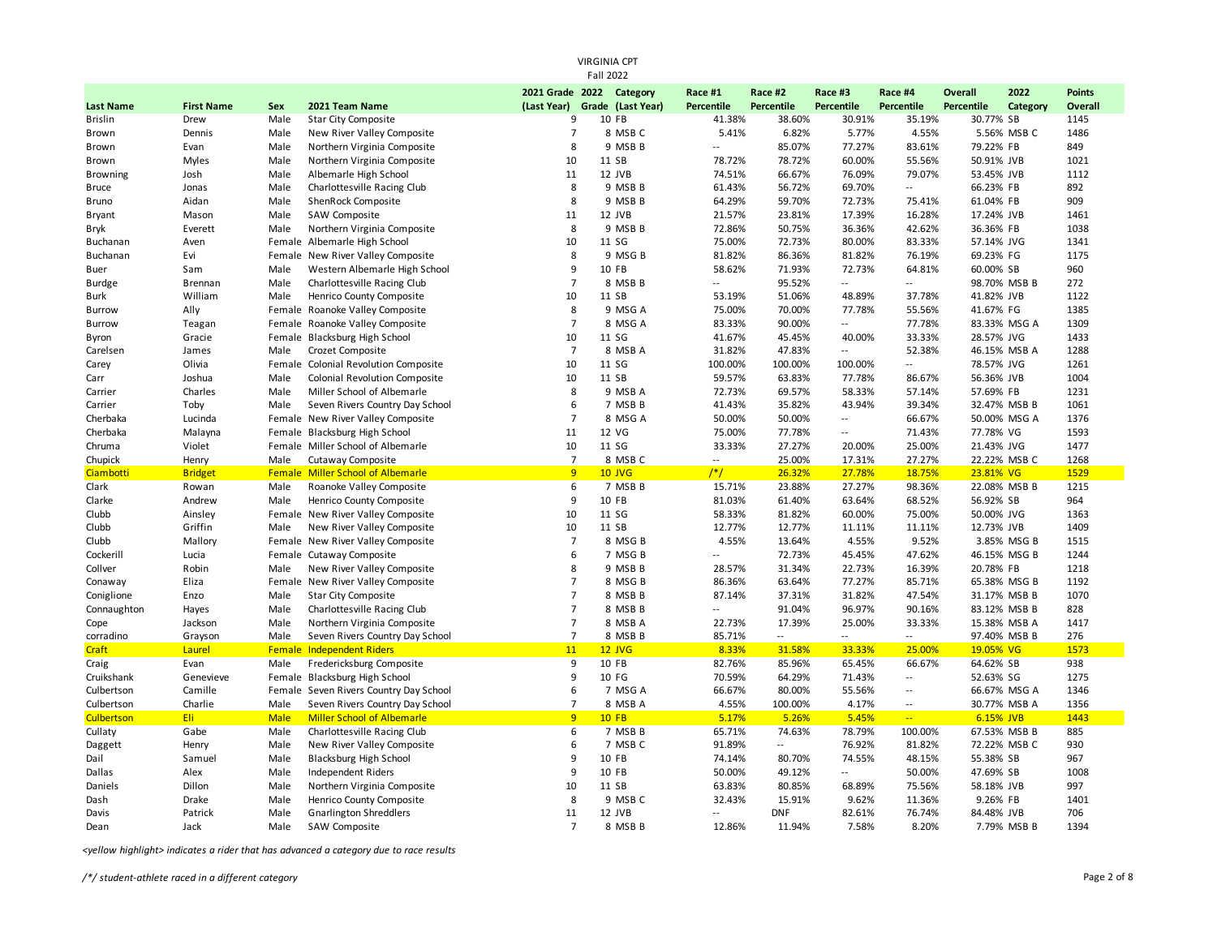|                      | <b>Fall 2022</b>        |             |                                                               |                               |  |                          |                          |                          |                  |                            |            |                 |                |
|----------------------|-------------------------|-------------|---------------------------------------------------------------|-------------------------------|--|--------------------------|--------------------------|--------------------------|------------------|----------------------------|------------|-----------------|----------------|
|                      |                         |             |                                                               | 2021 Grade 2022 Category      |  |                          | Race #1                  | Race #2                  | Race #3          | Race #4                    | Overall    | 2022            | <b>Points</b>  |
| <b>Last Name</b>     | <b>First Name</b>       | Sex         | 2021 Team Name                                                | (Last Year) Grade (Last Year) |  |                          | Percentile               | <b>Percentile</b>        | Percentile       | <b>Percentile</b>          | Percentile | <b>Category</b> | <b>Overall</b> |
| Brislin              | Drew                    | Male        | <b>Star City Composite</b>                                    | 9                             |  | 10 FB                    | 41.38%                   | 38.60%                   | 30.91%           | 35.19%                     | 30.77% SB  |                 | 1145           |
| Brown                | Dennis                  | Male        | New River Valley Composite                                    | $\overline{7}$                |  | 8 MSB C                  | 5.41%                    | 6.82%                    | 5.77%            | 4.55%                      |            | 5.56% MSB C     | 1486           |
| Brown                | Evan                    | Male        | Northern Virginia Composite                                   | 8                             |  | 9 MSB B                  | Ξ.                       | 85.07%                   | 77.27%           | 83.61%                     | 79.22% FB  |                 | 849            |
| Brown                | <b>Myles</b>            | Male        | Northern Virginia Composite                                   | 10                            |  | 11 SB                    | 78.72%                   | 78.72%                   | 60.00%           | 55.56%                     | 50.91% JVB |                 | 1021           |
| <b>Browning</b>      | Josh                    | Male        | Albemarle High School                                         | 11                            |  | 12 JVB                   | 74.51%                   | 66.67%                   | 76.09%           | 79.07%                     | 53.45% JVB |                 | 1112           |
| <b>Bruce</b>         | Jonas                   | Male        | Charlottesville Racing Club                                   | 8                             |  | 9 MSB B                  | 61.43%                   | 56.72%                   | 69.70%           | $\sim$                     | 66.23% FB  |                 | 892            |
| Bruno                | Aidan                   | Male        | ShenRock Composite                                            | 8                             |  | 9 MSB B                  | 64.29%                   | 59.70%                   | 72.73%           | 75.41%                     | 61.04% FB  |                 | 909            |
| <b>Bryant</b>        | Mason                   | Male        | SAW Composite                                                 | 11                            |  | 12 JVB                   | 21.57%                   | 23.81%                   | 17.39%           | 16.28%                     | 17.24% JVB |                 | 1461           |
| <b>Bryk</b>          | Everett                 | Male        | Northern Virginia Composite                                   | 8                             |  | 9 MSB B                  | 72.86%                   | 50.75%                   | 36.36%           | 42.62%                     | 36.36% FB  |                 | 1038           |
| Buchanan             | Aven                    |             | Female Albemarle High School                                  | 10                            |  | 11 SG                    | 75.00%                   | 72.73%                   | 80.00%           | 83.33%                     | 57.14% JVG |                 | 1341           |
| Buchanan             | Evi                     |             | Female New River Valley Composite                             | 8                             |  | 9 MSG B                  | 81.82%                   | 86.36%                   | 81.82%           | 76.19%                     | 69.23% FG  |                 | 1175           |
| Buer                 | Sam                     | Male        | Western Albemarle High School                                 | 9                             |  | 10 FB                    | 58.62%                   | 71.93%                   | 72.73%           | 64.81%                     | 60.00% SB  |                 | 960            |
| <b>Burdge</b>        | Brennan                 | Male        | Charlottesville Racing Club                                   | $\overline{7}$                |  | 8 MSB B                  | $\overline{\phantom{a}}$ | 95.52%                   | $\overline{a}$   | $\sim$                     |            | 98.70% MSB B    | 272            |
| Burk                 | William                 | Male        | <b>Henrico County Composite</b>                               | 10                            |  | 11 SB                    | 53.19%                   | 51.06%                   | 48.89%           | 37.78%                     | 41.82% JVB |                 | 1122           |
| Burrow               | Ally                    |             | Female Roanoke Valley Composite                               | 8                             |  | 9 MSG A                  | 75.00%                   | 70.00%                   | 77.78%           | 55.56%                     | 41.67% FG  |                 | 1385           |
| Burrow               | Teagan                  |             | Female Roanoke Valley Composite                               | $\overline{7}$                |  | 8 MSG A                  | 83.33%                   | 90.00%                   | $\overline{a}$   | 77.78%                     |            | 83.33% MSG A    | 1309           |
| Byron                | Gracie                  |             | Female Blacksburg High School                                 | 10                            |  | 11 SG                    | 41.67%                   | 45.45%                   | 40.00%           | 33.33%                     | 28.57% JVG |                 | 1433           |
| Carelsen             | James                   | Male        | Crozet Composite                                              | $\overline{7}$                |  | 8 MSB A                  | 31.82%                   | 47.83%                   |                  | 52.38%                     |            | 46.15% MSB A    | 1288           |
| Carey                | Olivia                  |             | Female Colonial Revolution Composite                          | 10                            |  | 11 SG                    | 100.00%                  | 100.00%                  | 100.00%          | $\overline{\phantom{a}}$   | 78.57% JVG |                 | 1261           |
| Carr                 | Joshua                  | Male        | <b>Colonial Revolution Composite</b>                          | 10                            |  | 11 SB                    | 59.57%                   | 63.83%                   | 77.78%           | 86.67%                     | 56.36% JVB |                 | 1004           |
| Carrier              | Charles                 | Male        | Miller School of Albemarle                                    | 8                             |  | 9 MSB A                  | 72.73%                   | 69.57%                   | 58.33%           | 57.14%                     | 57.69% FB  |                 | 1231           |
| Carrier              | Toby                    | Male        | Seven Rivers Country Day School                               | 6<br>$\overline{7}$           |  | 7 MSB B                  | 41.43%                   | 35.82%                   | 43.94%           | 39.34%                     |            | 32.47% MSB B    | 1061           |
| Cherbaka             | Lucinda                 |             | Female New River Valley Composite                             |                               |  | 8 MSG A                  | 50.00%                   | 50.00%                   | $\overline{a}$   | 66.67%                     |            | 50.00% MSG A    | 1376           |
| Cherbaka             | Malayna                 |             | Female Blacksburg High School                                 | 11                            |  | 12 VG                    | 75.00%                   | 77.78%                   | $\overline{a}$   | 71.43%                     | 77.78% VG  |                 | 1593           |
| Chruma               | Violet                  |             | Female Miller School of Albemarle                             | 10                            |  | 11 SG                    | 33.33%                   | 27.27%                   | 20.00%           | 25.00%                     | 21.43% JVG |                 | 1477           |
| Chupick<br>Ciambotti | Henry                   | Male        | Cutaway Composite                                             | $\overline{7}$<br>9           |  | 8 MSB C<br><b>10 JVG</b> | $/*/$                    | 25.00%<br>26.32%         | 17.31%<br>27.78% | 27.27%                     | 23.81% VG  | 22.22% MSB C    | 1268<br>1529   |
| Clark                | <b>Bridget</b><br>Rowan | Male        | Female Miller School of Albemarle<br>Roanoke Valley Composite | 6                             |  | 7 MSB B                  | 15.71%                   | 23.88%                   | 27.27%           | 18.75%<br>98.36%           |            | 22.08% MSB B    | 1215           |
| Clarke               | Andrew                  | Male        | Henrico County Composite                                      | 9                             |  | 10 FB                    | 81.03%                   | 61.40%                   | 63.64%           | 68.52%                     | 56.92% SB  |                 | 964            |
| Clubb                | Ainsley                 |             | Female New River Valley Composite                             | 10                            |  | 11 SG                    | 58.33%                   | 81.82%                   | 60.00%           | 75.00%                     | 50.00% JVG |                 | 1363           |
| Clubb                | Griffin                 | Male        | New River Valley Composite                                    | 10                            |  | 11 SB                    | 12.77%                   | 12.77%                   | 11.11%           | 11.11%                     | 12.73% JVB |                 | 1409           |
| Clubb                | Mallory                 |             | Female New River Valley Composite                             | $\overline{7}$                |  | 8 MSG B                  | 4.55%                    | 13.64%                   | 4.55%            | 9.52%                      |            | 3.85% MSG B     | 1515           |
| Cockerill            | Lucia                   |             | Female Cutaway Composite                                      | 6                             |  | 7 MSG B                  | $\overline{a}$           | 72.73%                   | 45.45%           | 47.62%                     |            | 46.15% MSG B    | 1244           |
| Collver              | Robin                   | Male        | New River Valley Composite                                    | 8                             |  | 9 MSB B                  | 28.57%                   | 31.34%                   | 22.73%           | 16.39%                     | 20.78% FB  |                 | 1218           |
| Conaway              | Eliza                   |             | Female New River Valley Composite                             | $\overline{7}$                |  | 8 MSG B                  | 86.36%                   | 63.64%                   | 77.27%           | 85.71%                     |            | 65.38% MSG B    | 1192           |
| Coniglione           | Enzo                    | Male        | <b>Star City Composite</b>                                    | $\overline{7}$                |  | 8 MSB B                  | 87.14%                   | 37.31%                   | 31.82%           | 47.54%                     |            | 31.17% MSB B    | 1070           |
| Connaughton          | Hayes                   | Male        | Charlottesville Racing Club                                   | $\overline{7}$                |  | 8 MSB B                  | $\overline{\phantom{a}}$ | 91.04%                   | 96.97%           | 90.16%                     |            | 83.12% MSB B    | 828            |
| Cope                 | Jackson                 | Male        | Northern Virginia Composite                                   | $\overline{7}$                |  | 8 MSB A                  | 22.73%                   | 17.39%                   | 25.00%           | 33.33%                     |            | 15.38% MSB A    | 1417           |
| corradino            | Grayson                 | Male        | Seven Rivers Country Day School                               | $\overline{7}$                |  | 8 MSB B                  | 85.71%                   | $\overline{a}$           | $\overline{a}$   | $\sim$ $\sim$              |            | 97.40% MSB B    | 276            |
| <b>Craft</b>         | Laurel                  |             | <b>Female Independent Riders</b>                              | 11                            |  | <b>12 JVG</b>            | 8.33%                    | 31.58%                   | 33.33%           | 25.00%                     | 19.05% VG  |                 | 1573           |
| Craig                | Evan                    | Male        | Fredericksburg Composite                                      | 9                             |  | 10 FB                    | 82.76%                   | 85.96%                   | 65.45%           | 66.67%                     | 64.62% SB  |                 | 938            |
| Cruikshank           | Genevieve               |             | Female Blacksburg High School                                 | 9                             |  | 10 FG                    | 70.59%                   | 64.29%                   | 71.43%           | $\sim$                     | 52.63% SG  |                 | 1275           |
| Culbertson           | Camille                 |             | Female Seven Rivers Country Day School                        | 6                             |  | 7 MSG A                  | 66.67%                   | 80.00%                   | 55.56%           | $\sim$                     |            | 66.67% MSG A    | 1346           |
| Culbertson           | Charlie                 | Male        | Seven Rivers Country Day School                               | $\overline{7}$                |  | 8 MSB A                  | 4.55%                    | 100.00%                  | 4.17%            | $\sim$                     |            | 30.77% MSB A    | 1356           |
| <b>Culbertson</b>    | Eli                     | <b>Male</b> | <b>Miller School of Albemarle</b>                             | 9                             |  | $10$ FB                  | 5.17%                    | 5.26%                    | 5.45%            | $\mathbb{Z}[\mathbb{Z}_p]$ | 6.15% JVB  |                 | 1443           |
| Cullaty              | Gabe                    | Male        | Charlottesville Racing Club                                   | 6                             |  | 7 MSB B                  | 65.71%                   | 74.63%                   | 78.79%           | 100.00%                    |            | 67.53% MSB B    | 885            |
| Daggett              | Henry                   | Male        | New River Valley Composite                                    | 6                             |  | 7 MSB C                  | 91.89%                   | $\overline{\phantom{a}}$ | 76.92%           | 81.82%                     |            | 72.22% MSB C    | 930            |
| Dail                 | Samuel                  | Male        | Blacksburg High School                                        | 9                             |  | 10 FB                    | 74.14%                   | 80.70%                   | 74.55%           | 48.15%                     | 55.38% SB  |                 | 967            |
| Dallas               | Alex                    | Male        | Independent Riders                                            | 9                             |  | 10 FB                    | 50.00%                   | 49.12%                   | $\overline{a}$   | 50.00%                     | 47.69% SB  |                 | 1008           |
| Daniels              | Dillon                  | Male        | Northern Virginia Composite                                   | 10                            |  | 11 SB                    | 63.83%                   | 80.85%                   | 68.89%           | 75.56%                     | 58.18% JVB |                 | 997            |
| Dash                 | Drake                   | Male        | <b>Henrico County Composite</b>                               | 8                             |  | 9 MSB C                  | 32.43%                   | 15.91%                   | 9.62%            | 11.36%                     | 9.26% FB   |                 | 1401           |
| Davis                | Patrick                 | Male        | <b>Gnarlington Shreddlers</b>                                 | 11                            |  | 12 JVB                   | $-$                      | <b>DNF</b>               | 82.61%           | 76.74%                     | 84.48% JVB |                 | 706            |
| Dean                 | Jack                    | Male        | SAW Composite                                                 | $\overline{7}$                |  | 8 MSB B                  | 12.86%                   | 11.94%                   | 7.58%            | 8.20%                      |            | 7.79% MSB B     | 1394           |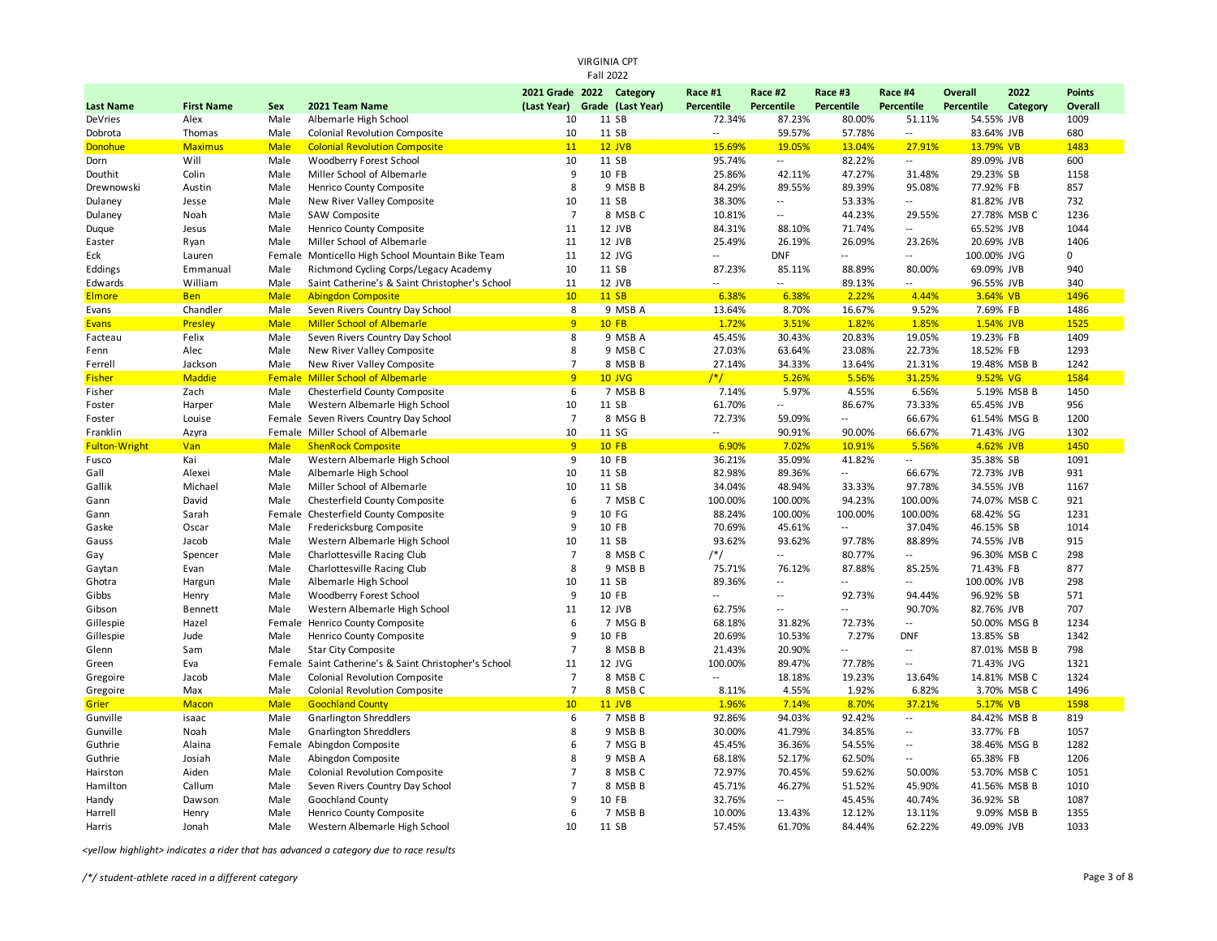## VIRGINIA CPT Fall 2022 **2021**

|                      |                   |             |                                                       | 2021 Grade 2022               | Category      | Race #1                     | Race #2                  | Race #3                  | Race #4                  | Overall     | 2022         | <b>Points</b> |
|----------------------|-------------------|-------------|-------------------------------------------------------|-------------------------------|---------------|-----------------------------|--------------------------|--------------------------|--------------------------|-------------|--------------|---------------|
| <b>Last Name</b>     | <b>First Name</b> | Sex         | 2021 Team Name                                        | (Last Year) Grade (Last Year) |               | <b>Percentile</b>           | Percentile               | <b>Percentile</b>        | Percentile               | Percentile  | Category     | Overall       |
| DeVries              | Alex              | Male        | Albemarle High School                                 | 10                            | 11 SB         | 72.34%                      | 87.23%                   | 80.00%                   | 51.11%                   | 54.55% JVB  |              | 1009          |
| Dobrota              | Thomas            | Male        | <b>Colonial Revolution Composite</b>                  | 10                            | 11 SB         | $\mathcal{L}_{\mathcal{A}}$ | 59.57%                   | 57.78%                   | $\overline{\phantom{a}}$ | 83.64% JVB  |              | 680           |
| <b>Donohue</b>       | <b>Maximus</b>    | <b>Male</b> | <b>Colonial Revolution Composite</b>                  | 11                            | $12$ JVB      | 15.69%                      | 19.05%                   | 13.04%                   | 27.91%                   | 13.79% VB   |              | 1483          |
| Dorn                 | Will              | Male        | Woodberry Forest School                               | 10                            | 11 SB         | 95.74%                      | $\sim$                   | 82.22%                   | $\sim$                   | 89.09% JVB  |              | 600           |
| Douthit              | Colin             | Male        | Miller School of Albemarle                            | 9                             | 10 FB         | 25.86%                      | 42.11%                   | 47.27%                   | 31.48%                   | 29.23% SB   |              | 1158          |
| Drewnowski           | Austin            | Male        | Henrico County Composite                              | 8                             | 9 MSB B       | 84.29%                      | 89.55%                   | 89.39%                   | 95.08%                   | 77.92% FB   |              | 857           |
| Dulaney              | Jesse             | Male        | New River Valley Composite                            | 10                            | 11 SB         | 38.30%                      | $\overline{a}$           | 53.33%                   | $\overline{a}$           | 81.82% JVB  |              | 732           |
| Dulaney              | Noah              | Male        | SAW Composite                                         | $\overline{7}$                | 8 MSB C       | 10.81%                      | $\overline{\phantom{a}}$ | 44.23%                   | 29.55%                   |             | 27.78% MSB C | 1236          |
| Duque                | Jesus             | Male        | Henrico County Composite                              | 11                            | 12 JVB        | 84.31%                      | 88.10%                   | 71.74%                   | $\sim$                   | 65.52% JVB  |              | 1044          |
| Easter               | Ryan              | Male        | Miller School of Albemarle                            | 11                            | 12 JVB        | 25.49%                      | 26.19%                   | 26.09%                   | 23.26%                   | 20.69% JVB  |              | 1406          |
| Eck                  | Lauren            |             | Female Monticello High School Mountain Bike Team      | 11                            | 12 JVG        | $\overline{\phantom{a}}$    | <b>DNF</b>               | $\overline{\phantom{a}}$ | $\overline{\phantom{a}}$ | 100.00% JVG |              | $\mathbf 0$   |
| Eddings              | Emmanual          | Male        | Richmond Cycling Corps/Legacy Academy                 | 10                            | 11 SB         | 87.23%                      | 85.11%                   | 88.89%                   | 80.00%                   | 69.09% JVB  |              | 940           |
| Edwards              | William           | Male        | Saint Catherine's & Saint Christopher's School        | 11                            | 12 JVB        | $\overline{a}$              | $\overline{a}$           | 89.13%                   | $\sim$ $\sim$            | 96.55% JVB  |              | 340           |
| <b>Elmore</b>        | <b>Ben</b>        | <b>Male</b> | <b>Abingdon Composite</b>                             | 10                            | <b>11 SB</b>  | 6.38%                       | 6.38%                    | 2.22%                    | 4.44%                    | 3.64% VB    |              | 1496          |
| Evans                | Chandler          | Male        | Seven Rivers Country Day School                       | 8                             | 9 MSB A       | 13.64%                      | 8.70%                    | 16.67%                   | 9.52%                    | 7.69% FB    |              | 1486          |
| <b>Evans</b>         | Presley           | <b>Male</b> | <b>Miller School of Albemarle</b>                     | 9                             | $10$ FB       | 1.72%                       | 3.51%                    | 1.82%                    | 1.85%                    | 1.54% JVB   |              | 1525          |
| Facteau              | Felix             | Male        | Seven Rivers Country Day School                       | 8                             | 9 MSB A       | 45.45%                      | 30.43%                   | 20.83%                   | 19.05%                   | 19.23% FB   |              | 1409          |
| Fenn                 | Alec              | Male        | New River Valley Composite                            | 8                             | 9 MSB C       | 27.03%                      | 63.64%                   | 23.08%                   | 22.73%                   | 18.52% FB   |              | 1293          |
| Ferrell              | Jackson           | Male        | New River Valley Composite                            | $\overline{7}$                | 8 MSB B       | 27.14%                      | 34.33%                   | 13.64%                   | 21.31%                   |             | 19.48% MSB B | 1242          |
| <b>Fisher</b>        | <b>Maddie</b>     |             | <b>Female Miller School of Albemarle</b>              | 9                             | <b>10 JVG</b> | $/*/$                       | 5.26%                    | 5.56%                    | 31.25%                   | 9.52% VG    |              | 1584          |
| Fisher               | Zach              | Male        | Chesterfield County Composite                         | 6                             | 7 MSB B       | 7.14%                       | 5.97%                    | 4.55%                    | 6.56%                    |             | 5.19% MSB B  | 1450          |
| Foster               | Harper            | Male        | Western Albemarle High School                         | 10                            | 11 SB         | 61.70%                      | $\overline{\phantom{a}}$ | 86.67%                   | 73.33%                   | 65.45% JVB  |              | 956           |
| Foster               | Louise            |             | Female Seven Rivers Country Day School                | $\overline{7}$                | 8 MSG B       | 72.73%                      | 59.09%                   | $\overline{a}$           | 66.67%                   |             | 61.54% MSG B | 1200          |
| Franklin             | Azyra             |             | Female Miller School of Albemarle                     | 10                            | 11 SG         |                             | 90.91%                   | 90.00%                   | 66.67%                   | 71.43% JVG  |              | 1302          |
| <b>Fulton-Wright</b> | <b>Van</b>        | <b>Male</b> | <b>ShenRock Composite</b>                             | 9                             | <b>10 FB</b>  | 6.90%                       | 7.02%                    | 10.91%                   | 5.56%                    | 4.62% JVB   |              | 1450          |
| Fusco                | Kai               | Male        | Western Albemarle High School                         | 9                             | 10 FB         | 36.21%                      | 35.09%                   | 41.82%                   | $\overline{\phantom{a}}$ | 35.38% SB   |              | 1091          |
| Gall                 | Alexei            | Male        | Albemarle High School                                 | 10                            | 11 SB         | 82.98%                      | 89.36%                   | $\sim$ $\sim$            | 66.67%                   | 72.73% JVB  |              | 931           |
| Gallik               | Michael           | Male        | Miller School of Albemarle                            | 10                            | 11 SB         | 34.04%                      | 48.94%                   | 33.33%                   | 97.78%                   | 34.55% JVB  |              | 1167          |
| Gann                 | David             | Male        | Chesterfield County Composite                         | 6                             | 7 MSB C       | 100.00%                     | 100.00%                  | 94.23%                   | 100.00%                  |             | 74.07% MSB C | 921           |
| Gann                 | Sarah             |             | Female Chesterfield County Composite                  | 9                             | 10 FG         | 88.24%                      | 100.00%                  | 100.00%                  | 100.00%                  | 68.42% SG   |              | 1231          |
| Gaske                | Oscar             | Male        | Fredericksburg Composite                              | 9                             | 10 FB         | 70.69%                      | 45.61%                   | $\sim$                   | 37.04%                   | 46.15% SB   |              | 1014          |
| Gauss                | Jacob             | Male        | Western Albemarle High School                         | 10                            | 11 SB         | 93.62%                      | 93.62%                   | 97.78%                   | 88.89%                   | 74.55% JVB  |              | 915           |
| Gay                  | Spencer           | Male        | Charlottesville Racing Club                           | $\overline{7}$                | 8 MSB C       | $/*/$                       | $\overline{\phantom{a}}$ | 80.77%                   | $\sim$                   |             | 96.30% MSB C | 298           |
| Gaytan               | Evan              | Male        | Charlottesville Racing Club                           | 8                             | 9 MSB B       | 75.71%                      | 76.12%                   | 87.88%                   | 85.25%                   | 71.43% FB   |              | 877           |
| Ghotra               | Hargun            | Male        | Albemarle High School                                 | 10                            | 11 SB         | 89.36%                      | $\overline{a}$           | $\overline{a}$           | $\sim$                   | 100.00% JVB |              | 298           |
| Gibbs                | Henry             | Male        | Woodberry Forest School                               | 9                             | 10 FB         | $\overline{a}$              | --                       | 92.73%                   | 94.44%                   | 96.92% SB   |              | 571           |
| Gibson               | Bennett           | Male        | Western Albemarle High School                         | 11                            | 12 JVB        | 62.75%                      | $\overline{a}$           | $\overline{a}$           | 90.70%                   | 82.76% JVB  |              | 707           |
| Gillespie            | Hazel             | Female      | Henrico County Composite                              | 6                             | 7 MSG B       | 68.18%                      | 31.82%                   | 72.73%                   | $\overline{\phantom{a}}$ |             | 50.00% MSG B | 1234          |
| Gillespie            | Jude              | Male        | Henrico County Composite                              | 9                             | 10 FB         | 20.69%                      | 10.53%                   | 7.27%                    | <b>DNF</b>               | 13.85% SB   |              | 1342          |
| Glenn                | Sam               | Male        | <b>Star City Composite</b>                            | $\overline{7}$                | 8 MSB B       | 21.43%                      | 20.90%                   | $\sim$                   | $\overline{a}$           |             | 87.01% MSB B | 798           |
| Green                | Eva               |             | Female Saint Catherine's & Saint Christopher's School | 11                            | 12 JVG        | 100.00%                     | 89.47%                   | 77.78%                   | $\overline{\phantom{a}}$ | 71.43% JVG  |              | 1321          |
| Gregoire             | Jacob             | Male        | <b>Colonial Revolution Composite</b>                  | $\overline{7}$                | 8 MSB C       | $\overline{\phantom{a}}$    | 18.18%                   | 19.23%                   | 13.64%                   |             | 14.81% MSB C | 1324          |
| Gregoire             | Max               | Male        | <b>Colonial Revolution Composite</b>                  | $\overline{7}$                | 8 MSB C       | 8.11%                       | 4.55%                    | 1.92%                    | 6.82%                    |             | 3.70% MSB C  | 1496          |
| Grier                | <b>Macon</b>      | <b>Male</b> | <b>Goochland County</b>                               | 10                            | <b>11 JVB</b> | 1.96%                       | 7.14%                    | 8.70%                    | 37.21%                   | 5.17% VB    |              | 1598          |
| Gunville             | isaac             | Male        | <b>Gnarlington Shreddlers</b>                         | 6                             | 7 MSB B       | 92.86%                      | 94.03%                   | 92.42%                   | $\overline{\phantom{a}}$ |             | 84.42% MSB B | 819           |
| Gunville             | Noah              | Male        | <b>Gnarlington Shreddlers</b>                         | 8                             | 9 MSB B       | 30.00%                      | 41.79%                   | 34.85%                   | $\overline{\phantom{a}}$ | 33.77% FB   |              | 1057          |
| Guthrie              | Alaina            |             | Female Abingdon Composite                             | 6                             | 7 MSG B       | 45.45%                      | 36.36%                   | 54.55%                   | $\overline{\phantom{a}}$ |             | 38.46% MSG B | 1282          |
| Guthrie              | Josiah            | Male        | Abingdon Composite                                    | 8<br>$\overline{7}$           | 9 MSB A       | 68.18%                      | 52.17%                   | 62.50%                   | $\overline{\phantom{a}}$ | 65.38% FB   |              | 1206          |
| Hairston             | Aiden             | Male        | <b>Colonial Revolution Composite</b>                  | $\overline{7}$                | 8 MSB C       | 72.97%                      | 70.45%                   | 59.62%                   | 50.00%                   |             | 53.70% MSB C | 1051          |
| Hamilton             | Callum            | Male        | Seven Rivers Country Day School                       | 9                             | 8 MSB B       | 45.71%                      | 46.27%                   | 51.52%                   | 45.90%                   |             | 41.56% MSB B | 1010          |
| Handy                | Dawson            | Male        | Goochland County                                      |                               | 10 FB         | 32.76%                      | --                       | 45.45%                   | 40.74%                   | 36.92% SB   |              | 1087          |
| Harrell              | Henry             | Male        | Henrico County Composite                              | 6<br>10                       | 7 MSB B       | 10.00%<br>57.45%            | 13.43%<br>61.70%         | 12.12%<br>84.44%         | 13.11%<br>62.22%         |             | 9.09% MSB B  | 1355<br>1033  |
| Harris               | Jonah             | Male        | Western Albemarle High School                         |                               | 11 SB         |                             |                          |                          |                          | 49.09% JVB  |              |               |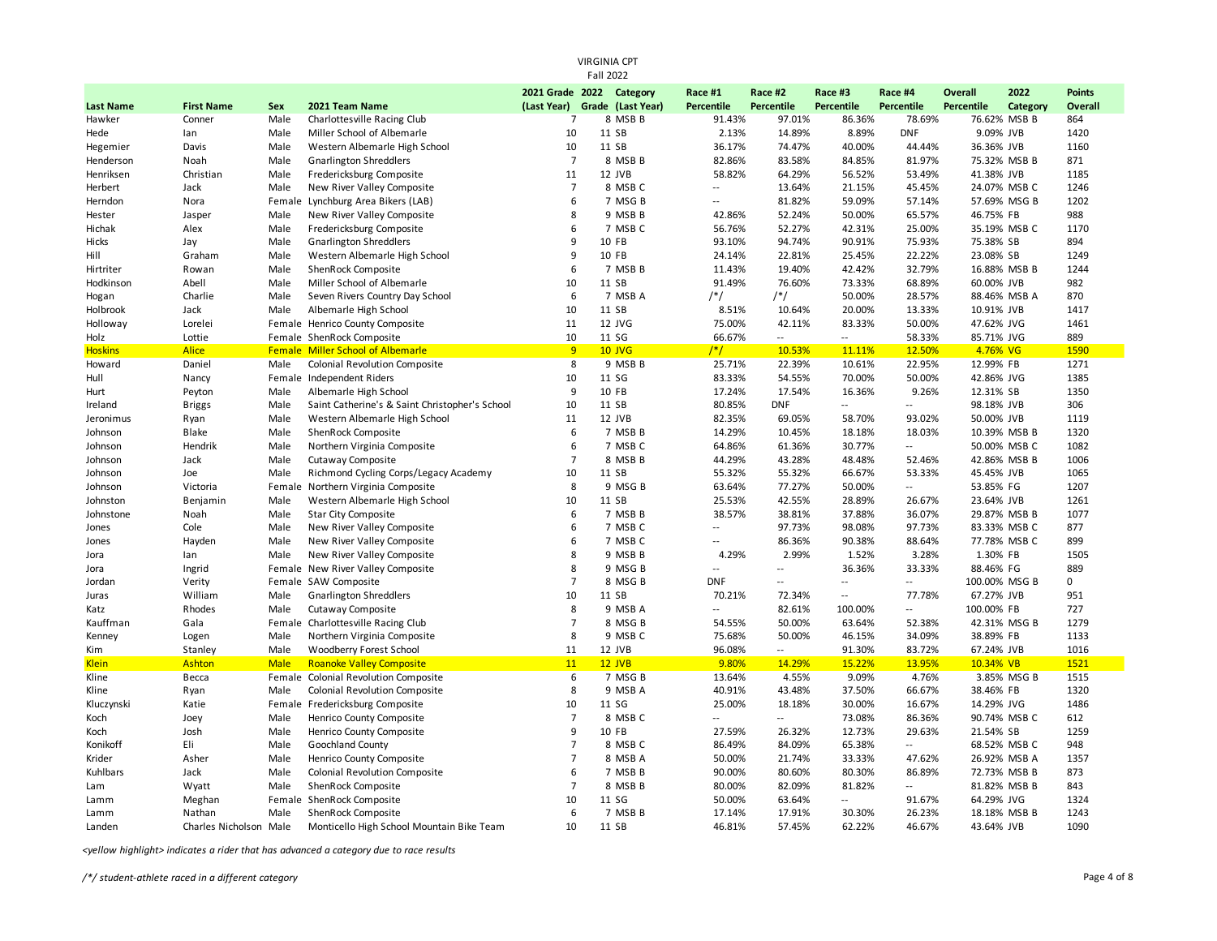## VIRGINIA CPT Fall 2022 **2021**

|                  |                        |              |                                                                 | 2021 Grade 2022 | Category                      | Race #1                                    | Race #2                  | Race #3                  | Race #4                  | Overall           | 2022          | <b>Points</b> |
|------------------|------------------------|--------------|-----------------------------------------------------------------|-----------------|-------------------------------|--------------------------------------------|--------------------------|--------------------------|--------------------------|-------------------|---------------|---------------|
| <b>Last Name</b> | <b>First Name</b>      | Sex          | 2021 Team Name                                                  |                 | (Last Year) Grade (Last Year) | <b>Percentile</b>                          | Percentile               | Percentile               | <b>Percentile</b>        | <b>Percentile</b> | Category      | Overall       |
| Hawker           | Conner                 | Male         | Charlottesville Racing Club                                     | $\overline{7}$  | 8 MSB B                       | 91.43%                                     | 97.01%                   | 86.36%                   | 78.69%                   |                   | 76.62% MSB B  | 864           |
| Hede             | lan                    | Male         | Miller School of Albemarle                                      | 10              | 11 SB                         | 2.13%                                      | 14.89%                   | 8.89%                    | <b>DNF</b>               | 9.09% JVB         |               | 1420          |
| Hegemier         | Davis                  | Male         | Western Albemarle High School                                   | 10              | 11 SB                         | 36.17%                                     | 74.47%                   | 40.00%                   | 44.44%                   | 36.36% JVB        |               | 1160          |
| Henderson        | Noah                   | Male         | <b>Gnarlington Shreddlers</b>                                   | $\overline{7}$  | 8 MSB B                       | 82.86%                                     | 83.58%                   | 84.85%                   | 81.97%                   |                   | 75.32% MSB B  | 871           |
| Henriksen        | Christian              | Male         | Fredericksburg Composite                                        | 11              | 12 JVB                        | 58.82%                                     | 64.29%                   | 56.52%                   | 53.49%                   | 41.38% JVB        |               | 1185          |
| Herbert          | Jack                   | Male         | New River Valley Composite                                      | $\overline{7}$  | 8 MSB C                       | $\overline{\phantom{a}}$                   | 13.64%                   | 21.15%                   | 45.45%                   |                   | 24.07% MSB C  | 1246          |
| Herndon          | Nora                   |              | Female Lynchburg Area Bikers (LAB)                              | 6               | 7 MSG B                       | $\overline{a}$                             | 81.82%                   | 59.09%                   | 57.14%                   |                   | 57.69% MSG B  | 1202          |
| Hester           | Jasper                 | Male         | New River Valley Composite                                      | 8               | 9 MSB B                       | 42.86%                                     | 52.24%                   | 50.00%                   | 65.57%                   | 46.75% FB         |               | 988           |
| Hichak           | Alex                   | Male         | Fredericksburg Composite                                        | 6               | 7 MSB C                       | 56.76%                                     | 52.27%                   | 42.31%                   | 25.00%                   |                   | 35.19% MSB C  | 1170          |
| Hicks            | Jay                    | Male         | <b>Gnarlington Shreddlers</b>                                   | 9               | 10 FB                         | 93.10%                                     | 94.74%                   | 90.91%                   | 75.93%                   | 75.38% SB         |               | 894           |
| Hill             | Graham                 | Male         | Western Albemarle High School                                   | 9               | 10 FB                         | 24.14%                                     | 22.81%                   | 25.45%                   | 22.22%                   | 23.08% SB         |               | 1249          |
| Hirtriter        | Rowan                  | Male         | ShenRock Composite                                              | 6               | 7 MSB B                       | 11.43%                                     | 19.40%                   | 42.42%                   | 32.79%                   |                   | 16.88% MSB B  | 1244          |
| Hodkinson        | Abell                  | Male         | Miller School of Albemarle                                      | 10              | 11 SB                         | 91.49%                                     | 76.60%                   | 73.33%                   | 68.89%                   | 60.00% JVB        |               | 982           |
| Hogan            | Charlie                | Male         | Seven Rivers Country Day School                                 | 6               | 7 MSB A                       | $/*/$                                      | $/*/$                    | 50.00%                   | 28.57%                   |                   | 88.46% MSB A  | 870           |
| Holbrook         | Jack                   | Male         | Albemarle High School                                           | 10              | 11 SB                         | 8.51%                                      | 10.64%                   | 20.00%                   | 13.33%                   | 10.91% JVB        |               | 1417          |
| Holloway         | Lorelei                |              | Female Henrico County Composite                                 | 11              | 12 JVG                        | 75.00%                                     | 42.11%                   | 83.33%                   | 50.00%                   | 47.62% JVG        |               | 1461          |
| Holz             | Lottie                 |              | Female ShenRock Composite                                       | 10              | 11 SG                         | 66.67%                                     | $\overline{\phantom{a}}$ | $\sim$                   | 58.33%                   | 85.71% JVG        |               | 889           |
| <b>Hoskins</b>   | <b>Alice</b>           |              | Female Miller School of Albemarle                               | $\overline{9}$  | <b>10 JVG</b>                 | $/*/$                                      | 10.53%                   | 11.11%                   | 12.50%                   | 4.76% VG          |               | 1590          |
| Howard           | Daniel                 | Male         | <b>Colonial Revolution Composite</b>                            | 8               | 9 MSB B                       | 25.71%                                     | 22.39%                   | 10.61%                   | 22.95%                   | 12.99% FB         |               | 1271          |
| Hull             | Nancy                  |              | Female Independent Riders                                       | 10              | 11 SG                         | 83.33%                                     | 54.55%                   | 70.00%                   | 50.00%                   | 42.86% JVG        |               | 1385          |
| Hurt             | Peyton                 | Male         | Albemarle High School                                           | 9               | 10 FB                         | 17.24%                                     | 17.54%                   | 16.36%                   | 9.26%                    | 12.31% SB         |               | 1350          |
| Ireland          | <b>Briggs</b>          | Male         | Saint Catherine's & Saint Christopher's School                  | 10              | 11 SB                         | 80.85%                                     | <b>DNF</b>               | $\overline{a}$           | $\sim$                   | 98.18% JVB        |               | 306           |
| Jeronimus        | Ryan                   | Male         | Western Albemarle High School                                   | 11              | 12 JVB                        | 82.35%                                     | 69.05%                   | 58.70%                   | 93.02%                   | 50.00% JVB        |               | 1119          |
| Johnson          | <b>Blake</b>           | Male         | ShenRock Composite                                              | 6               | 7 MSB B                       | 14.29%                                     | 10.45%                   | 18.18%                   | 18.03%                   |                   | 10.39% MSB B  | 1320          |
| Johnson          | Hendrik                | Male         | Northern Virginia Composite                                     | 6               | 7 MSB C                       | 64.86%                                     | 61.36%                   | 30.77%                   | $\overline{a}$           |                   | 50.00% MSB C  | 1082          |
| Johnson          | Jack                   | Male         | Cutaway Composite                                               | $\overline{7}$  | 8 MSB B                       | 44.29%                                     | 43.28%                   | 48.48%                   | 52.46%                   |                   | 42.86% MSB B  | 1006          |
| Johnson          | Joe                    | Male         | Richmond Cycling Corps/Legacy Academy                           | 10              | 11 SB                         | 55.32%                                     | 55.32%                   | 66.67%                   | 53.33%                   | 45.45% JVB        |               | 1065          |
| Johnson          | Victoria               |              | Female Northern Virginia Composite                              | 8               | 9 MSG B                       | 63.64%                                     | 77.27%                   | 50.00%                   | $\sim$                   | 53.85% FG         |               | 1207          |
| Johnston         | Benjamin               | Male         | Western Albemarle High School                                   | 10              | 11 SB                         | 25.53%                                     | 42.55%                   | 28.89%                   | 26.67%                   | 23.64% JVB        |               | 1261          |
| Johnstone        | Noah                   | Male         | <b>Star City Composite</b>                                      | 6               | 7 MSB B                       | 38.57%                                     | 38.81%                   | 37.88%                   | 36.07%                   |                   | 29.87% MSB B  | 1077          |
| Jones            | Cole                   | Male         | New River Valley Composite                                      | 6<br>6          | 7 MSB C                       | $\overline{\phantom{a}}$<br>$\overline{a}$ | 97.73%                   | 98.08%                   | 97.73%                   |                   | 83.33% MSB C  | 877           |
| Jones<br>Jora    | Hayden                 | Male<br>Male | New River Valley Composite                                      | 8               | 7 MSB C<br>9 MSB B            | 4.29%                                      | 86.36%<br>2.99%          | 90.38%<br>1.52%          | 88.64%<br>3.28%          | 1.30% FB          | 77.78% MSB C  | 899<br>1505   |
|                  | lan                    |              | New River Valley Composite<br>Female New River Valley Composite | 8               | 9 MSG B                       | $\sim$                                     | $\overline{a}$           | 36.36%                   | 33.33%                   | 88.46% FG         |               | 889           |
| Jora<br>Jordan   | Ingrid<br>Verity       |              | Female SAW Composite                                            | $\overline{7}$  | 8 MSG B                       | <b>DNF</b>                                 | $\overline{\phantom{a}}$ | $\overline{a}$           | $\sim$                   |                   | 100.00% MSG B | 0             |
| Juras            | William                | Male         | <b>Gnarlington Shreddlers</b>                                   | 10              | 11 SB                         | 70.21%                                     | 72.34%                   | $\overline{\phantom{a}}$ | 77.78%                   | 67.27% JVB        |               | 951           |
| Katz             | Rhodes                 | Male         | Cutaway Composite                                               | 8               | 9 MSB A                       | $\overline{\phantom{a}}$                   | 82.61%                   | 100.00%                  | $\overline{a}$           | 100.00% FB        |               | 727           |
| Kauffman         | Gala                   |              | Female Charlottesville Racing Club                              | $\overline{7}$  | 8 MSG B                       | 54.55%                                     | 50.00%                   | 63.64%                   | 52.38%                   |                   | 42.31% MSG B  | 1279          |
| Kenney           | Logen                  | Male         | Northern Virginia Composite                                     | 8               | 9 MSB C                       | 75.68%                                     | 50.00%                   | 46.15%                   | 34.09%                   | 38.89% FB         |               | 1133          |
| Kim              | Stanley                | Male         | Woodberry Forest School                                         | 11              | 12 JVB                        | 96.08%                                     | $\sim$                   | 91.30%                   | 83.72%                   | 67.24% JVB        |               | 1016          |
| <b>Klein</b>     | Ashton                 | <b>Male</b>  | <b>Roanoke Valley Composite</b>                                 | 11              | $12$ JVB                      | 9.80%                                      | 14.29%                   | 15.22%                   | 13.95%                   | 10.34% VB         |               | 1521          |
| Kline            | Becca                  |              | Female Colonial Revolution Composite                            | 6               | 7 MSG B                       | 13.64%                                     | 4.55%                    | 9.09%                    | 4.76%                    |                   | 3.85% MSG B   | 1515          |
| Kline            | Ryan                   | Male         | <b>Colonial Revolution Composite</b>                            | 8               | 9 MSB A                       | 40.91%                                     | 43.48%                   | 37.50%                   | 66.67%                   | 38.46% FB         |               | 1320          |
| Kluczynski       | Katie                  |              | Female Fredericksburg Composite                                 | 10              | 11 SG                         | 25.00%                                     | 18.18%                   | 30.00%                   | 16.67%                   | 14.29% JVG        |               | 1486          |
| Koch             | Joey                   | Male         | <b>Henrico County Composite</b>                                 | $\overline{7}$  | 8 MSB C                       | $\overline{\phantom{a}}$                   | $\overline{\phantom{a}}$ | 73.08%                   | 86.36%                   |                   | 90.74% MSB C  | 612           |
| Koch             | Josh                   | Male         | Henrico County Composite                                        | 9               | 10 FB                         | 27.59%                                     | 26.32%                   | 12.73%                   | 29.63%                   | 21.54% SB         |               | 1259          |
| Konikoff         | Eli                    | Male         | <b>Goochland County</b>                                         | $\overline{7}$  | 8 MSB C                       | 86.49%                                     | 84.09%                   | 65.38%                   | $\sim$                   |                   | 68.52% MSB C  | 948           |
| Krider           | Asher                  | Male         | Henrico County Composite                                        | $\overline{7}$  | 8 MSB A                       | 50.00%                                     | 21.74%                   | 33.33%                   | 47.62%                   |                   | 26.92% MSB A  | 1357          |
| Kuhlbars         | Jack                   | Male         | <b>Colonial Revolution Composite</b>                            | 6               | 7 MSB B                       | 90.00%                                     | 80.60%                   | 80.30%                   | 86.89%                   |                   | 72.73% MSB B  | 873           |
| Lam              | Wyatt                  | Male         | ShenRock Composite                                              | $\overline{7}$  | 8 MSB B                       | 80.00%                                     | 82.09%                   | 81.82%                   | $\overline{\phantom{a}}$ |                   | 81.82% MSB B  | 843           |
| Lamm             | Meghan                 |              | Female ShenRock Composite                                       | 10              | 11 SG                         | 50.00%                                     | 63.64%                   | $\overline{a}$           | 91.67%                   | 64.29% JVG        |               | 1324          |
| Lamm             | Nathan                 | Male         | ShenRock Composite                                              | 6               | 7 MSB B                       | 17.14%                                     | 17.91%                   | 30.30%                   | 26.23%                   |                   | 18.18% MSB B  | 1243          |
| Landen           | Charles Nicholson Male |              | Monticello High School Mountain Bike Team                       | 10              | 11 SB                         | 46.81%                                     | 57.45%                   | 62.22%                   | 46.67%                   | 43.64% JVB        |               | 1090          |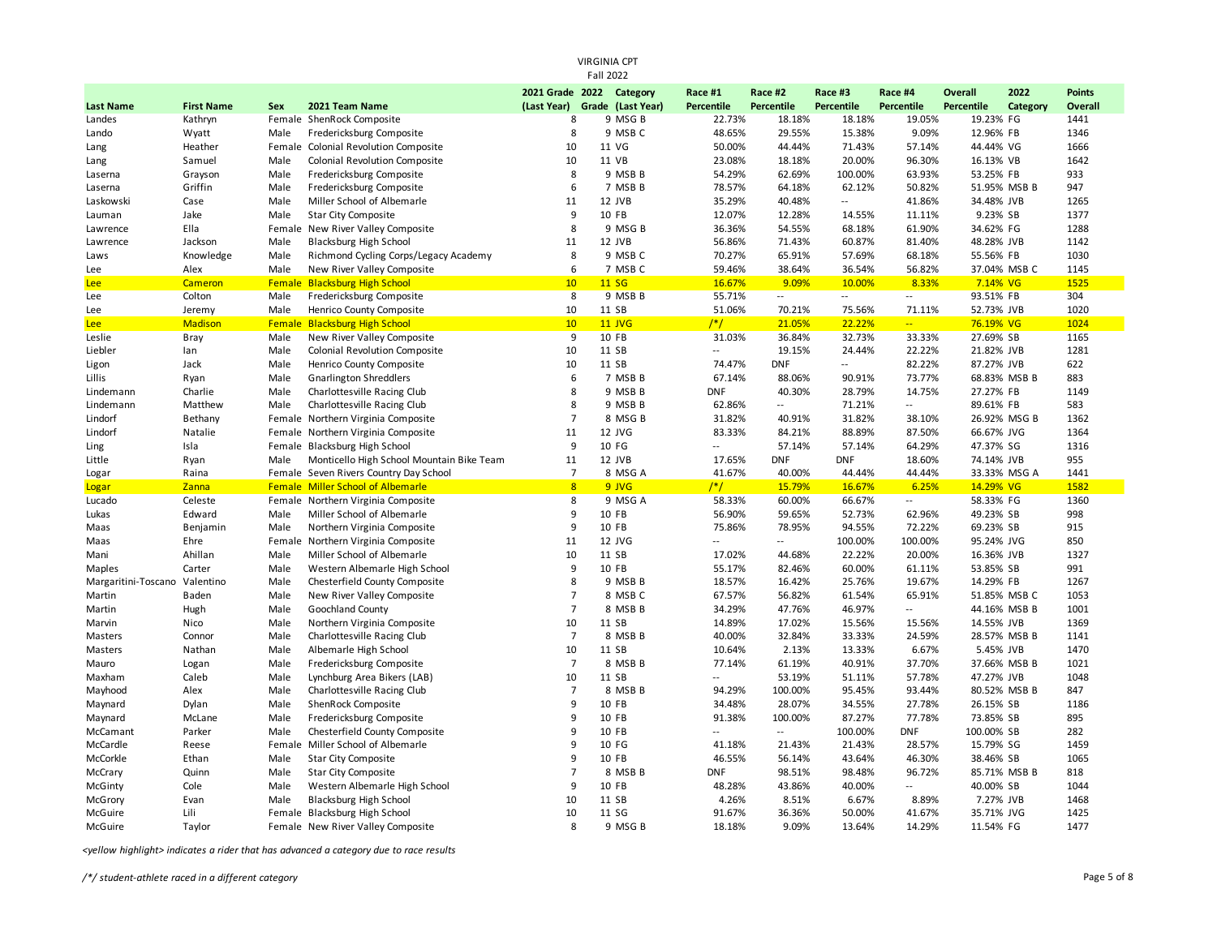|                               |                   |               |                                           |                                         | <b>Fall 2022</b> |                   |                              |                          |                              |                          |                       |                  |                          |
|-------------------------------|-------------------|---------------|-------------------------------------------|-----------------------------------------|------------------|-------------------|------------------------------|--------------------------|------------------------------|--------------------------|-----------------------|------------------|--------------------------|
| <b>Last Name</b>              | <b>First Name</b> | Sex           | 2021 Team Name                            | 2021 Grade 2022 Category<br>(Last Year) |                  | Grade (Last Year) | Race #1<br><b>Percentile</b> | Race #2<br>Percentile    | Race #3<br><b>Percentile</b> | Race #4<br>Percentile    | Overall<br>Percentile | 2022<br>Category | <b>Points</b><br>Overall |
| Landes                        | Kathryn           |               | Female ShenRock Composite                 | 8                                       |                  | 9 MSG B           | 22.73%                       | 18.18%                   | 18.18%                       | 19.05%                   | 19.23% FG             |                  | 1441                     |
| Lando                         | Wyatt             | Male          | Fredericksburg Composite                  | 8                                       |                  | 9 MSB C           | 48.65%                       | 29.55%                   | 15.38%                       | 9.09%                    | 12.96% FB             |                  | 1346                     |
| Lang                          | Heather           |               | Female Colonial Revolution Composite      | 10                                      |                  | 11 VG             | 50.00%                       | 44.44%                   | 71.43%                       | 57.14%                   | 44.44% VG             |                  | 1666                     |
| Lang                          | Samuel            | Male          | <b>Colonial Revolution Composite</b>      | 10                                      |                  | 11 VB             | 23.08%                       | 18.18%                   | 20.00%                       | 96.30%                   | 16.13% VB             |                  | 1642                     |
| Laserna                       | Grayson           | Male          | Fredericksburg Composite                  | 8                                       |                  | 9 MSB B           | 54.29%                       | 62.69%                   | 100.00%                      | 63.93%                   | 53.25% FB             |                  | 933                      |
| Laserna                       | Griffin           | Male          | Fredericksburg Composite                  | 6                                       |                  | 7 MSB B           | 78.57%                       | 64.18%                   | 62.12%                       | 50.82%                   | 51.95% MSB B          |                  | 947                      |
| Laskowski                     | Case              | Male          | Miller School of Albemarle                | 11                                      |                  | 12 JVB            | 35.29%                       | 40.48%                   | $\overline{\phantom{a}}$     | 41.86%                   | 34.48% JVB            |                  | 1265                     |
| Lauman                        | Jake              | Male          | <b>Star City Composite</b>                | 9                                       |                  | 10 FB             | 12.07%                       | 12.28%                   | 14.55%                       | 11.11%                   | 9.23% SB              |                  | 1377                     |
| Lawrence                      | Ella              |               | Female New River Valley Composite         | 8                                       |                  | 9 MSG B           | 36.36%                       | 54.55%                   | 68.18%                       | 61.90%                   | 34.62% FG             |                  | 1288                     |
| Lawrence                      | Jackson           | Male          | <b>Blacksburg High School</b>             | 11                                      |                  | 12 JVB            | 56.86%                       | 71.43%                   | 60.87%                       | 81.40%                   | 48.28% JVB            |                  | 1142                     |
| Laws                          | Knowledge         | Male          | Richmond Cycling Corps/Legacy Academy     | 8                                       |                  | 9 MSB C           | 70.27%                       | 65.91%                   | 57.69%                       | 68.18%                   | 55.56% FB             |                  | 1030                     |
| Lee                           | Alex              | Male          | New River Valley Composite                | 6                                       |                  | 7 MSB C           | 59.46%                       | 38.64%                   | 36.54%                       | 56.82%                   |                       | 37.04% MSB C     | 1145                     |
| Lee                           | <b>Cameron</b>    | Female        | <b>Blacksburg High School</b>             | 10                                      |                  | 11 SG             | 16.67%                       | 9.09%                    | 10.00%                       | 8.33%                    | 7.14% VG              |                  | 1525                     |
| Lee                           | Colton            | Male          | Fredericksburg Composite                  | 8                                       |                  | 9 MSB B           | 55.71%                       | $\overline{\phantom{a}}$ | $\overline{a}$               | $\overline{\phantom{a}}$ | 93.51% FB             |                  | 304                      |
| Lee                           | Jeremy            | Male          | Henrico County Composite                  | 10                                      |                  | 11 SB             | 51.06%                       | 70.21%                   | 75.56%                       | 71.11%                   | 52.73% JVB            |                  | 1020                     |
| Lee                           | <b>Madison</b>    | <b>Female</b> | <b>Blacksburg High School</b>             | 10                                      |                  | <b>11 JVG</b>     | $/*/$                        | 21.05%                   | 22.22%                       | $-1$                     | 76.19% VG             |                  | 1024                     |
| Leslie                        | Bray              | Male          | New River Valley Composite                | 9                                       |                  | 10 FB             | 31.03%                       | 36.84%                   | 32.73%                       | 33.33%                   | 27.69% SB             |                  | 1165                     |
| Liebler                       | lan               | Male          | <b>Colonial Revolution Composite</b>      | 10                                      |                  | 11 SB             | $\sim$ $\sim$                | 19.15%                   | 24.44%                       | 22.22%                   | 21.82% JVB            |                  | 1281                     |
| Ligon                         | Jack              | Male          | Henrico County Composite                  | 10                                      |                  | 11 SB             | 74.47%                       | <b>DNF</b>               | --                           | 82.22%                   | 87.27% JVB            |                  | 622                      |
| Lillis                        | Ryan              | Male          | <b>Gnarlington Shreddlers</b>             | 6                                       |                  | 7 MSB B           | 67.14%                       | 88.06%                   | 90.91%                       | 73.77%                   | 68.83% MSB B          |                  | 883                      |
| Lindemann                     | Charlie           | Male          | Charlottesville Racing Club               | 8                                       |                  | 9 MSB B           | <b>DNF</b>                   | 40.30%                   | 28.79%                       | 14.75%                   | 27.27% FB             |                  | 1149                     |
| Lindemann                     | Matthew           | Male          | Charlottesville Racing Club               | 8                                       |                  | 9 MSB B           | 62.86%                       | $\overline{\phantom{a}}$ | 71.21%                       | $\overline{\phantom{a}}$ | 89.61% FB             |                  | 583                      |
| Lindorf                       | Bethany           |               | Female Northern Virginia Composite        | $\overline{7}$                          |                  | 8 MSG B           | 31.82%                       | 40.91%                   | 31.82%                       | 38.10%                   |                       | 26.92% MSG B     | 1362                     |
| Lindorf                       | Natalie           |               | Female Northern Virginia Composite        | 11                                      |                  | 12 JVG            | 83.33%                       | 84.21%                   | 88.89%                       | 87.50%                   | 66.67% JVG            |                  | 1364                     |
| Ling                          | Isla              |               | Female Blacksburg High School             | 9                                       |                  | 10 FG             | $\sim$                       | 57.14%                   | 57.14%                       | 64.29%                   | 47.37% SG             |                  | 1316                     |
| Little                        | Ryan              | Male          | Monticello High School Mountain Bike Team | 11                                      |                  | 12 JVB            | 17.65%                       | <b>DNF</b>               | <b>DNF</b>                   | 18.60%                   | 74.14% JVB            |                  | 955                      |
| Logar                         | Raina             |               | Female Seven Rivers Country Day School    | $\overline{7}$                          |                  | 8 MSG A           | 41.67%                       | 40.00%                   | 44.44%                       | 44.44%                   |                       | 33.33% MSG A     | 1441                     |
| <b>Logar</b>                  | Zanna             |               | Female Miller School of Albemarle         | 8                                       |                  | 9 JVG             | $/*/$                        | 15.79%                   | 16.67%                       | 6.25%                    | 14.29% VG             |                  | 1582                     |
| Lucado                        | Celeste           |               | Female Northern Virginia Composite        | 8                                       |                  | 9 MSG A           | 58.33%                       | 60.00%                   | 66.67%                       | $\overline{\phantom{a}}$ | 58.33% FG             |                  | 1360                     |
| Lukas                         | Edward            | Male          | Miller School of Albemarle                | 9                                       |                  | 10 FB             | 56.90%                       | 59.65%                   | 52.73%                       | 62.96%                   | 49.23% SB             |                  | 998                      |
| Maas                          | Benjamin          | Male          | Northern Virginia Composite               | 9                                       |                  | 10 FB             | 75.86%                       | 78.95%                   | 94.55%                       | 72.22%                   | 69.23% SB             |                  | 915                      |
| Maas                          | Ehre              |               | Female Northern Virginia Composite        | 11                                      |                  | 12 JVG            | $\overline{\phantom{a}}$     | $\overline{a}$           | 100.00%                      | 100.00%                  | 95.24% JVG            |                  | 850                      |
| Mani                          | Ahillan           | Male          | Miller School of Albemarle                | 10                                      |                  | 11 SB             | 17.02%                       | 44.68%                   | 22.22%                       | 20.00%                   | 16.36% JVB            |                  | 1327                     |
| Maples                        | Carter            | Male          | Western Albemarle High School             | 9                                       |                  | 10 FB             | 55.17%                       | 82.46%                   | 60.00%                       | 61.11%                   | 53.85% SB             |                  | 991                      |
| Margaritini-Toscano Valentino |                   | Male          | Chesterfield County Composite             | 8                                       |                  | 9 MSB B           | 18.57%                       | 16.42%                   | 25.76%                       | 19.67%                   | 14.29% FB             |                  | 1267                     |
| Martin                        | Baden             | Male          | New River Valley Composite                | $\overline{7}$                          |                  | 8 MSB C           | 67.57%                       | 56.82%                   | 61.54%                       | 65.91%                   | 51.85% MSB C          |                  | 1053                     |
| Martin                        | Hugh              | Male          | Goochland County                          | $\overline{7}$                          |                  | 8 MSB B           | 34.29%                       | 47.76%                   | 46.97%                       | $\overline{a}$           | 44.16% MSB B          |                  | 1001                     |
|                               |                   | Male          | Northern Virginia Composite               | 10                                      |                  | 11 SB             | 14.89%                       | 17.02%                   | 15.56%                       | 15.56%                   | 14.55% JVB            |                  | 1369                     |
| Marvin                        | Nico<br>Connor    |               | Charlottesville Racing Club               | $\overline{7}$                          |                  | 8 MSB B           | 40.00%                       | 32.84%                   | 33.33%                       | 24.59%                   | 28.57% MSB B          |                  | 1141                     |
| Masters                       | Nathan            | Male<br>Male  |                                           | 10                                      |                  | 11 SB             |                              | 2.13%                    | 13.33%                       | 6.67%                    | 5.45% JVB             |                  | 1470                     |
| Masters                       |                   |               | Albemarle High School                     | $\overline{7}$                          |                  | 8 MSB B           | 10.64%                       |                          |                              |                          |                       |                  |                          |
| Mauro                         | Logan             | Male          | Fredericksburg Composite                  |                                         |                  |                   | 77.14%<br>$\sim$ $\sim$      | 61.19%                   | 40.91%                       | 37.70%                   | 37.66% MSB B          |                  | 1021                     |
| Maxham                        | Caleb             | Male          | Lynchburg Area Bikers (LAB)               | 10                                      |                  | 11 SB             |                              | 53.19%                   | 51.11%                       | 57.78%                   | 47.27% JVB            |                  | 1048                     |
| Mayhood                       | Alex              | Male          | Charlottesville Racing Club               | 7                                       |                  | 8 MSB B           | 94.29%                       | 100.00%                  | 95.45%                       | 93.44%                   | 80.52% MSB B          |                  | 847                      |
| Maynard                       | Dylan             | Male          | ShenRock Composite                        | 9                                       |                  | 10 FB             | 34.48%                       | 28.07%                   | 34.55%                       | 27.78%                   | 26.15% SB             |                  | 1186                     |
| Maynard                       | McLane            | Male          | Fredericksburg Composite                  | 9                                       |                  | 10 FB             | 91.38%                       | 100.00%                  | 87.27%                       | 77.78%                   | 73.85% SB             |                  | 895                      |
| McCamant                      | Parker            | Male          | Chesterfield County Composite             | 9                                       |                  | 10 FB             |                              | $\overline{a}$           | 100.00%                      | <b>DNF</b>               | 100.00% SB            |                  | 282                      |
| McCardle                      | Reese             |               | Female Miller School of Albemarle         | 9                                       |                  | 10 FG             | 41.18%                       | 21.43%                   | 21.43%                       | 28.57%                   | 15.79% SG             |                  | 1459                     |
| McCorkle                      | Ethan             | Male          | <b>Star City Composite</b>                | 9                                       |                  | 10 FB             | 46.55%                       | 56.14%                   | 43.64%                       | 46.30%                   | 38.46% SB             |                  | 1065                     |
| McCrary                       | Quinn             | Male          | <b>Star City Composite</b>                | $\overline{7}$                          |                  | 8 MSB B           | <b>DNF</b>                   | 98.51%                   | 98.48%                       | 96.72%                   | 85.71% MSB B          |                  | 818                      |
| McGinty                       | Cole              | Male          | Western Albemarle High School             | 9                                       |                  | 10 FB             | 48.28%                       | 43.86%                   | 40.00%                       | $\sim$                   | 40.00% SB             |                  | 1044                     |
| McGrory                       | Evan              | Male          | <b>Blacksburg High School</b>             | 10                                      |                  | 11 SB             | 4.26%                        | 8.51%                    | 6.67%                        | 8.89%                    | 7.27% JVB             |                  | 1468                     |
| McGuire                       | Lili              |               | Female Blacksburg High School             | 10                                      |                  | 11 SG             | 91.67%                       | 36.36%                   | 50.00%                       | 41.67%                   | 35.71% JVG            |                  | 1425                     |
| McGuire                       | Taylor            |               | Female New River Valley Composite         | 8                                       |                  | 9 MSG B           | 18.18%                       | 9.09%                    | 13.64%                       | 14.29%                   | 11.54% FG             |                  | 1477                     |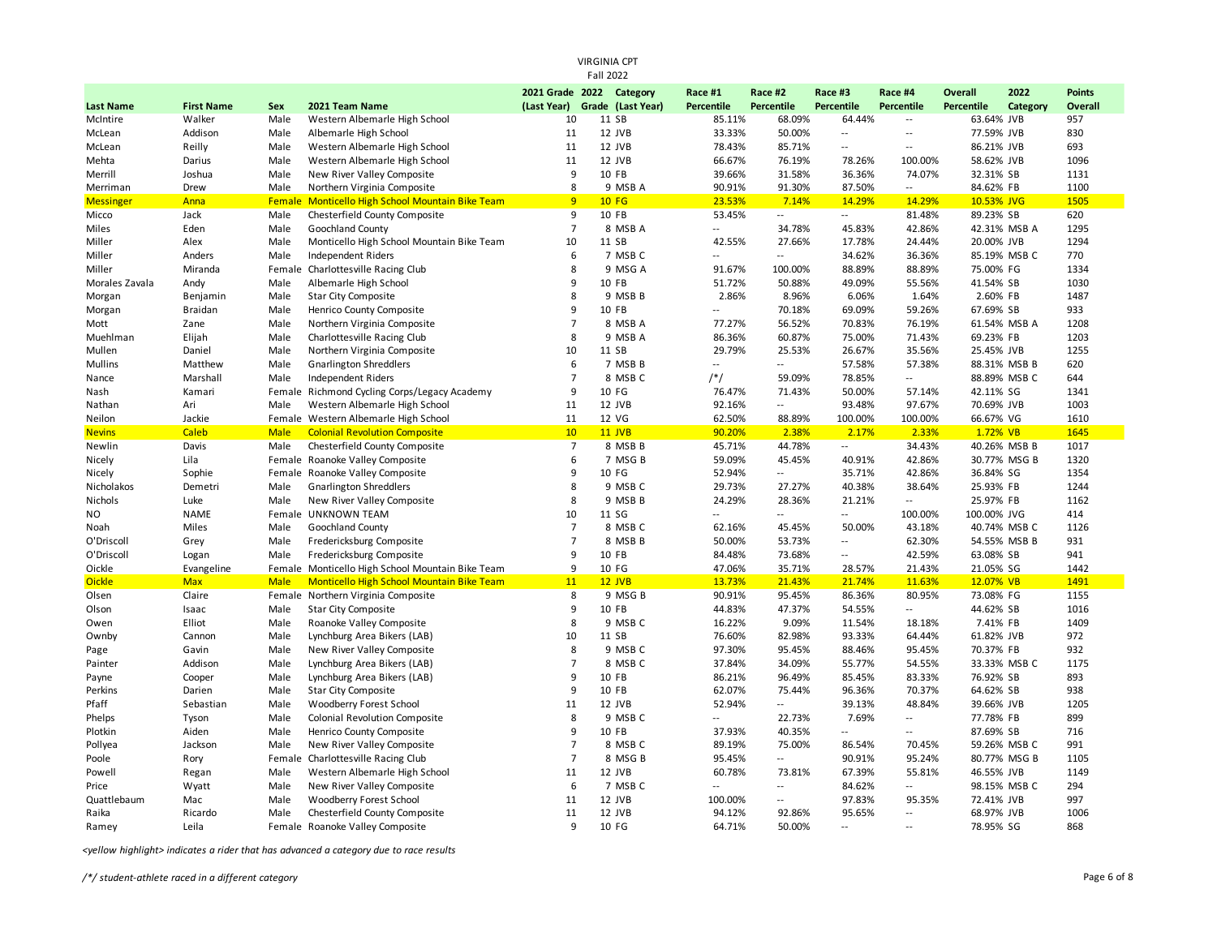|                  |                     |              |                                                             |                                  | <b>Fall 2022</b> |                   |                          |                                    |                          |                          |                        |              |               |
|------------------|---------------------|--------------|-------------------------------------------------------------|----------------------------------|------------------|-------------------|--------------------------|------------------------------------|--------------------------|--------------------------|------------------------|--------------|---------------|
|                  |                     |              |                                                             | 2021 Grade 2022 Category         |                  |                   | Race #1                  | Race #2                            | Race #3                  | Race #4                  | Overall                | 2022         | <b>Points</b> |
| <b>Last Name</b> | <b>First Name</b>   | Sex          | 2021 Team Name                                              | (Last Year) Grade (Last Year)    |                  |                   | Percentile               | Percentile                         | Percentile               | <b>Percentile</b>        | Percentile             | Category     | Overall       |
| McIntire         | Walker              | Male         | Western Albemarle High School                               | 10                               |                  | 11 SB             | 85.11%                   | 68.09%                             | 64.44%                   | $\sim$                   | 63.64% JVB             |              | 957           |
| McLean           | Addison             | Male         | Albemarle High School                                       | 11                               |                  | 12 JVB            | 33.33%                   | 50.00%                             | $\overline{\phantom{a}}$ | $\overline{\phantom{a}}$ | 77.59% JVB             |              | 830           |
| McLean           | Reilly              | Male         | Western Albemarle High School                               | 11                               |                  | 12 JVB            | 78.43%                   | 85.71%                             | --                       | $\overline{\phantom{a}}$ | 86.21% JVB             |              | 693           |
| Mehta            | Darius              | Male         | Western Albemarle High School                               | 11                               |                  | 12 JVB            | 66.67%                   | 76.19%                             | 78.26%                   | 100.00%                  | 58.62% JVB             |              | 1096          |
| Merrill          | Joshua              | Male         | New River Valley Composite                                  | 9                                |                  | 10 FB             | 39.66%                   | 31.58%                             | 36.36%                   | 74.07%                   | 32.31% SB              |              | 1131          |
| Merriman         | Drew                | Male         | Northern Virginia Composite                                 | 8                                |                  | 9 MSB A           | 90.91%                   | 91.30%                             | 87.50%                   | $\sim$                   | 84.62% FB              |              | 1100          |
| <b>Messinger</b> | Anna                |              | Female Monticello High School Mountain Bike Team            | 9                                |                  | 10 FG             | 23.53%                   | 7.14%                              | 14.29%                   | 14.29%                   | 10.53% JVG             |              | 1505          |
| Micco            | Jack                | Male         | Chesterfield County Composite                               | 9                                |                  | 10 FB             | 53.45%                   | $\overline{\phantom{a}}$           | $\overline{a}$           | 81.48%                   | 89.23% SB              |              | 620           |
| Miles            | Eden                | Male         | Goochland County                                            | $\overline{7}$                   |                  | 8 MSB A           | $\overline{\phantom{a}}$ | 34.78%                             | 45.83%                   | 42.86%                   |                        | 42.31% MSB A | 1295          |
| Miller           | Alex                | Male         | Monticello High School Mountain Bike Team                   | 10<br>6                          |                  | 11 SB             | 42.55%<br>--             | 27.66%<br>$\overline{\phantom{a}}$ | 17.78%                   | 24.44%                   | 20.00% JVB             |              | 1294<br>770   |
| Miller           | Anders              | Male         | Independent Riders                                          | 8                                |                  | 7 MSB C           |                          |                                    | 34.62%                   | 36.36%                   |                        | 85.19% MSB C |               |
| Miller           | Miranda<br>Andy     | Male         | Female Charlottesville Racing Club<br>Albemarle High School | 9                                |                  | 9 MSG A<br>10 FB  | 91.67%<br>51.72%         | 100.00%<br>50.88%                  | 88.89%<br>49.09%         | 88.89%<br>55.56%         | 75.00% FG<br>41.54% SB |              | 1334<br>1030  |
| Morales Zavala   |                     | Male         | <b>Star City Composite</b>                                  | 8                                |                  | 9 MSB B           | 2.86%                    | 8.96%                              | 6.06%                    | 1.64%                    | 2.60% FB               |              | 1487          |
| Morgan<br>Morgan | Benjamin<br>Braidan | Male         | Henrico County Composite                                    | 9                                |                  | 10 FB             | --                       | 70.18%                             | 69.09%                   | 59.26%                   | 67.69% SB              |              | 933           |
| Mott             | Zane                | Male         | Northern Virginia Composite                                 | $\overline{7}$                   |                  | 8 MSB A           | 77.27%                   | 56.52%                             | 70.83%                   | 76.19%                   |                        | 61.54% MSB A | 1208          |
| Muehlman         | Elijah              | Male         | Charlottesville Racing Club                                 | 8                                |                  | 9 MSB A           | 86.36%                   | 60.87%                             | 75.00%                   | 71.43%                   | 69.23% FB              |              | 1203          |
| Mullen           | Daniel              | Male         | Northern Virginia Composite                                 | 10                               |                  | 11 SB             | 29.79%                   | 25.53%                             | 26.67%                   | 35.56%                   | 25.45% JVB             |              | 1255          |
| <b>Mullins</b>   | Matthew             | Male         | <b>Gnarlington Shreddlers</b>                               | 6                                |                  | 7 MSB B           | $\overline{\phantom{a}}$ | $\overline{\phantom{a}}$           | 57.58%                   | 57.38%                   |                        | 88.31% MSB B | 620           |
| Nance            | Marshall            | Male         | Independent Riders                                          | $\overline{7}$                   |                  | 8 MSB C           | $/*/$                    | 59.09%                             | 78.85%                   | $\overline{a}$           |                        | 88.89% MSB C | 644           |
| Nash             | Kamari              |              | Female Richmond Cycling Corps/Legacy Academy                | 9                                |                  | 10 FG             | 76.47%                   | 71.43%                             | 50.00%                   | 57.14%                   | 42.11% SG              |              | 1341          |
| Nathan           | Ari                 | Male         | Western Albemarle High School                               | 11                               |                  | 12 JVB            | 92.16%                   | $\sim$                             | 93.48%                   | 97.67%                   | 70.69% JVB             |              | 1003          |
| Neilon           | Jackie              |              | Female Western Albemarle High School                        | 11                               |                  | 12 VG             | 62.50%                   | 88.89%                             | 100.00%                  | 100.00%                  | 66.67% VG              |              | 1610          |
| <b>Nevins</b>    | <b>Caleb</b>        | <b>Male</b>  | <b>Colonial Revolution Composite</b>                        | 10                               |                  | <b>11 JVB</b>     | 90.20%                   | 2.38%                              | 2.17%                    | 2.33%                    | 1.72% VB               |              | 1645          |
| Newlin           | Davis               | Male         | Chesterfield County Composite                               | $\overline{7}$                   |                  | 8 MSB B           | 45.71%                   | 44.78%                             | $\overline{a}$           | 34.43%                   |                        | 40.26% MSB B | 1017          |
| Nicely           | Lila                |              | Female Roanoke Valley Composite                             | 6                                |                  | 7 MSG B           | 59.09%                   | 45.45%                             | 40.91%                   | 42.86%                   |                        | 30.77% MSG B | 1320          |
| Nicely           | Sophie              |              | Female Roanoke Valley Composite                             | q                                |                  | 10 FG             | 52.94%                   | $\overline{\phantom{a}}$           | 35.71%                   | 42.86%                   | 36.84% SG              |              | 1354          |
| Nicholakos       | Demetri             | Male         | <b>Gnarlington Shreddlers</b>                               | 8                                |                  | 9 MSB C           | 29.73%                   | 27.27%                             | 40.38%                   | 38.64%                   | 25.93% FB              |              | 1244          |
| Nichols          | Luke                | Male         | New River Valley Composite                                  | 8                                |                  | 9 MSB B           | 24.29%                   | 28.36%                             | 21.21%                   | $\overline{\phantom{a}}$ | 25.97% FB              |              | 1162          |
| NO               | <b>NAME</b>         |              | Female UNKNOWN TEAM                                         | 10                               |                  | 11 SG             | --                       | $\overline{\phantom{a}}$           | $\overline{\phantom{a}}$ | 100.00%                  | 100.00% JVG            |              | 414           |
| Noah             | Miles               | Male         | Goochland County                                            | $\overline{7}$                   |                  | 8 MSB C           | 62.16%                   | 45.45%                             | 50.00%                   | 43.18%                   |                        | 40.74% MSB C | 1126          |
| O'Driscoll       | Grey                | Male         | Fredericksburg Composite                                    | $\overline{7}$                   |                  | 8 MSB B           | 50.00%                   | 53.73%                             | $\overline{\phantom{a}}$ | 62.30%                   |                        | 54.55% MSB B | 931           |
| O'Driscoll       | Logan               | Male         | Fredericksburg Composite                                    | 9                                |                  | 10 FB             | 84.48%                   | 73.68%                             |                          | 42.59%                   | 63.08% SB              |              | 941           |
| Oickle           | Evangeline          |              | Female Monticello High School Mountain Bike Team            | 9                                |                  | 10 FG             | 47.06%                   | 35.71%                             | 28.57%                   | 21.43%                   | 21.05% SG              |              | 1442          |
| <b>Oickle</b>    | <b>Max</b>          | <b>Male</b>  | <b>Monticello High School Mountain Bike Team</b>            | 11                               |                  | <b>12 JVB</b>     | 13.73%                   | 21.43%                             | 21.74%                   | 11.63%                   | 12.07% VB              |              | 1491          |
| Olsen            | Claire              |              | Female Northern Virginia Composite                          | 8                                |                  | 9 MSG B           | 90.91%                   | 95.45%                             | 86.36%                   | 80.95%                   | 73.08% FG              |              | 1155          |
| Olson            | Isaac               | Male         | <b>Star City Composite</b>                                  | 9                                |                  | 10 FB             | 44.83%                   | 47.37%                             | 54.55%                   | $\sim$                   | 44.62% SB              |              | 1016          |
| Owen             | Elliot              | Male         | Roanoke Valley Composite                                    | 8                                |                  | 9 MSB C           | 16.22%                   | 9.09%                              | 11.54%                   | 18.18%                   | 7.41% FB               |              | 1409          |
| Ownby            | Cannon              | Male         | Lynchburg Area Bikers (LAB)                                 | 10                               |                  | 11 SB             | 76.60%                   | 82.98%                             | 93.33%                   | 64.44%                   | 61.82% JVB             |              | 972           |
| Page             | Gavin               | Male         | New River Valley Composite                                  | 8                                |                  | 9 MSB C           | 97.30%                   | 95.45%                             | 88.46%                   | 95.45%                   | 70.37% FB              |              | 932           |
| Painter          | Addison             | Male         | Lynchburg Area Bikers (LAB)                                 | $\overline{7}$                   |                  | 8 MSB C           | 37.84%                   | 34.09%                             | 55.77%                   | 54.55%                   |                        | 33.33% MSB C | 1175          |
| Payne            | Cooper              | Male         | Lynchburg Area Bikers (LAB)                                 | 9                                |                  | 10 FB             | 86.21%                   | 96.49%                             | 85.45%                   | 83.33%                   | 76.92% SB              |              | 893           |
| Perkins          | Darien              | Male         | <b>Star City Composite</b>                                  | 9                                |                  | 10 FB             | 62.07%                   | 75.44%                             | 96.36%                   | 70.37%                   | 64.62% SB              |              | 938           |
| Pfaff            | Sebastian           | Male         | Woodberry Forest School                                     | 11                               |                  | 12 JVB            | 52.94%                   | $\sim$ $\sim$                      | 39.13%                   | 48.84%                   | 39.66% JVB             |              | 1205          |
| Phelps           | Tyson               | Male         | <b>Colonial Revolution Composite</b>                        | 8                                |                  | 9 MSB C           | $\overline{\phantom{a}}$ | 22.73%                             | 7.69%                    | $\overline{a}$           | 77.78% FB              |              | 899           |
| Plotkin          | Aiden               | Male         | Henrico County Composite                                    | 9                                |                  | 10 FB             | 37.93%                   | 40.35%                             |                          | $\overline{\phantom{a}}$ | 87.69% SB              |              | 716           |
| Pollyea          | Jackson             | Male         | New River Valley Composite                                  | $\overline{7}$<br>$\overline{7}$ |                  | 8 MSB C           | 89.19%                   | 75.00%                             | 86.54%                   | 70.45%                   |                        | 59.26% MSB C | 991           |
| Poole            | Rory                |              | Female Charlottesville Racing Club                          | 11                               |                  | 8 MSG B<br>12 JVB | 95.45%                   | $\overline{a}$                     | 90.91%                   | 95.24%                   |                        | 80.77% MSG B | 1105<br>1149  |
| Powell<br>Price  | Regan<br>Wyatt      | Male<br>Male | Western Albemarle High School<br>New River Valley Composite | 6                                |                  | 7 MSB C           | 60.78%<br>$-1$           | 73.81%<br>$\overline{\phantom{a}}$ | 67.39%<br>84.62%         | 55.81%<br>$\sim$         | 46.55% JVB             | 98.15% MSB C | 294           |
| Quattlebaum      | Mac                 | Male         | Woodberry Forest School                                     | 11                               |                  | 12 JVB            | 100.00%                  | $\sim$                             | 97.83%                   | 95.35%                   | 72.41% JVB             |              | 997           |
| Raika            | Ricardo             | Male         | Chesterfield County Composite                               | 11                               |                  | 12 JVB            | 94.12%                   | 92.86%                             | 95.65%                   | $\sim$                   | 68.97% JVB             |              | 1006          |
| Ramey            | Leila               |              | Female Roanoke Valley Composite                             | 9                                |                  | 10 FG             | 64.71%                   | 50.00%                             | $\overline{a}$           | $\overline{\phantom{a}}$ | 78.95% SG              |              | 868           |
|                  |                     |              |                                                             |                                  |                  |                   |                          |                                    |                          |                          |                        |              |               |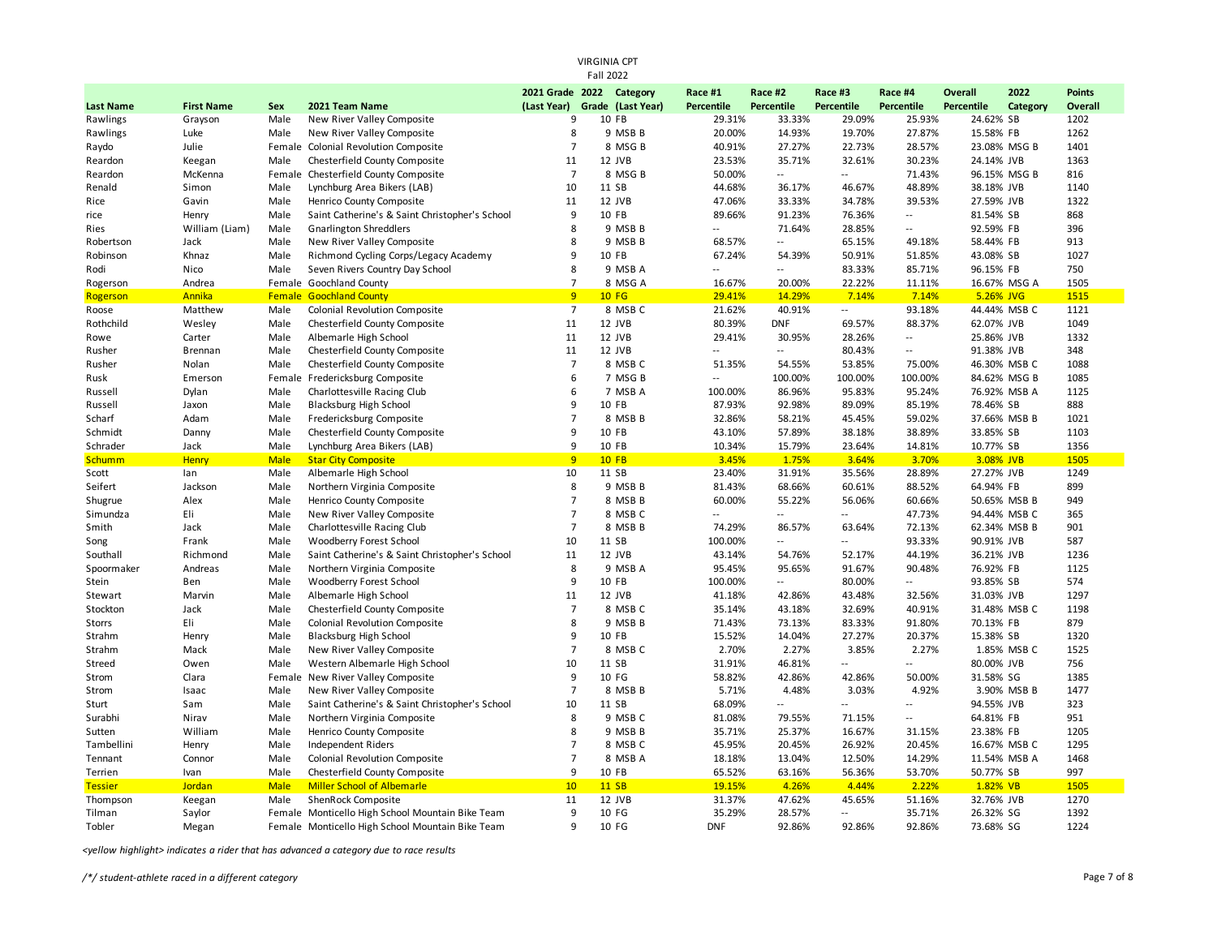|                   |                   |              |                                                           |                               | <b>Fall 2022</b> |                    |                      |                   |                          |                                |            |              |               |
|-------------------|-------------------|--------------|-----------------------------------------------------------|-------------------------------|------------------|--------------------|----------------------|-------------------|--------------------------|--------------------------------|------------|--------------|---------------|
|                   |                   |              |                                                           | 2021 Grade 2022 Category      |                  |                    | Race #1              | Race #2           | Race #3                  | Race #4                        | Overall    | 2022         | <b>Points</b> |
| <b>Last Name</b>  | <b>First Name</b> | Sex          | 2021 Team Name                                            | (Last Year) Grade (Last Year) |                  |                    | <b>Percentile</b>    | Percentile        | <b>Percentile</b>        | Percentile                     | Percentile | Category     | Overall       |
| Rawlings          | Grayson           | Male         | New River Valley Composite                                | 9                             |                  | 10 FB              | 29.31%               | 33.33%            | 29.09%                   | 25.93%                         | 24.62% SB  |              | 1202          |
| Rawlings          | Luke              | Male         | New River Valley Composite                                | 8                             |                  | 9 MSB B            | 20.00%               | 14.93%            | 19.70%                   | 27.87%                         | 15.58% FB  |              | 1262          |
| Raydo             | Julie             |              | Female Colonial Revolution Composite                      | $\overline{7}$                |                  | 8 MSG B            | 40.91%               | 27.27%            | 22.73%                   | 28.57%                         |            | 23.08% MSG B | 1401          |
| Reardon           | Keegan            | Male         | Chesterfield County Composite                             | 11                            |                  | 12 JVB             | 23.53%               | 35.71%            | 32.61%                   | 30.23%                         | 24.14% JVB |              | 1363          |
| Reardon           | McKenna           |              | Female Chesterfield County Composite                      | $\overline{7}$                |                  | 8 MSG B            | 50.00%               | $\overline{a}$    | $\overline{\phantom{a}}$ | 71.43%                         |            | 96.15% MSG B | 816           |
| Renald            | Simon             | Male         | Lynchburg Area Bikers (LAB)                               | 10                            |                  | 11 SB              | 44.68%               | 36.17%            | 46.67%                   | 48.89%                         | 38.18% JVB |              | 1140          |
| Rice              | Gavin             | Male         | Henrico County Composite                                  | 11                            |                  | 12 JVB             | 47.06%               | 33.33%            | 34.78%                   | 39.53%                         | 27.59% JVB |              | 1322          |
| rice              | Henry             | Male         | Saint Catherine's & Saint Christopher's School            | 9                             |                  | 10 FB              | 89.66%               | 91.23%            | 76.36%                   | $\overline{a}$                 | 81.54% SB  |              | 868           |
| Ries              | William (Liam)    | Male         | <b>Gnarlington Shreddlers</b>                             | 8                             |                  | 9 MSB B            | $\overline{a}$       | 71.64%            | 28.85%                   | $\overline{\phantom{a}}$       | 92.59% FB  |              | 396           |
| Robertson         | Jack              | Male         | New River Valley Composite                                | 8                             |                  | 9 MSB B            | 68.57%               | --                | 65.15%                   | 49.18%                         | 58.44% FB  |              | 913           |
| Robinson          | Khnaz             | Male         | Richmond Cycling Corps/Legacy Academy                     | 9                             |                  | 10 FB              | 67.24%               | 54.39%            | 50.91%                   | 51.85%                         | 43.08% SB  |              | 1027          |
| Rodi              | Nico              | Male         | Seven Rivers Country Day School                           | 8                             |                  | 9 MSB A            | $\overline{a}$       | --                | 83.33%                   | 85.71%                         | 96.15% FB  |              | 750           |
| Rogerson          | Andrea            |              | Female Goochland County                                   | $\overline{7}$                |                  | 8 MSG A            | 16.67%               | 20.00%            | 22.22%                   | 11.11%                         |            | 16.67% MSG A | 1505          |
| Rogerson          | Annika            |              | <b>Female Goochland County</b>                            | 9                             |                  | <b>10 FG</b>       | 29.41%               | 14.29%            | 7.14%                    | 7.14%                          | 5.26% JVG  |              | 1515          |
| Roose             | Matthew           | Male         | <b>Colonial Revolution Composite</b>                      | $\overline{7}$                |                  | 8 MSB C            | 21.62%               | 40.91%            | $\sim$ $-$               | 93.18%                         |            | 44.44% MSB C | 1121          |
| Rothchild         | Wesley            | Male         | Chesterfield County Composite                             | 11                            |                  | 12 JVB             | 80.39%               | <b>DNF</b>        | 69.57%                   | 88.37%                         | 62.07% JVB |              | 1049          |
| Rowe              | Carter            | Male         | Albemarle High School                                     | 11                            |                  | 12 JVB<br>12 JVB   | 29.41%<br>$\sim$     | 30.95%<br>--      | 28.26%                   | --<br>$\overline{\phantom{a}}$ | 25.86% JVB |              | 1332<br>348   |
| Rusher            | Brennan           | Male         | Chesterfield County Composite                             | 11<br>$\overline{7}$          |                  |                    |                      |                   | 80.43%                   |                                | 91.38% JVB |              | 1088          |
| Rusher            | Nolan             | Male         | Chesterfield County Composite                             | 6                             |                  | 8 MSB C            | 51.35%<br>$\sim$ $-$ | 54.55%            | 53.85%                   | 75.00%                         |            | 46.30% MSB C |               |
| Rusk              | Emerson           |              | Female Fredericksburg Composite                           | 6                             |                  | 7 MSG B<br>7 MSB A | 100.00%              | 100.00%<br>86.96% | 100.00%                  | 100.00%                        |            | 84.62% MSG B | 1085<br>1125  |
| Russell           | Dylan             | Male         | Charlottesville Racing Club                               | 9                             |                  | 10 FB              |                      | 92.98%            | 95.83%                   | 95.24%                         |            | 76.92% MSB A | 888           |
| Russell<br>Scharf | Jaxon<br>Adam     | Male<br>Male | <b>Blacksburg High School</b><br>Fredericksburg Composite | $\overline{7}$                |                  | 8 MSB B            | 87.93%<br>32.86%     | 58.21%            | 89.09%<br>45.45%         | 85.19%<br>59.02%               | 78.46% SB  | 37.66% MSB B | 1021          |
| Schmidt           | Danny             | Male         | Chesterfield County Composite                             | 9                             |                  | 10 FB              | 43.10%               | 57.89%            | 38.18%                   | 38.89%                         | 33.85% SB  |              | 1103          |
| Schrader          | Jack              | Male         | Lynchburg Area Bikers (LAB)                               | 9                             |                  | 10 FB              | 10.34%               | 15.79%            | 23.64%                   | 14.81%                         | 10.77% SB  |              | 1356          |
| <b>Schumm</b>     | Henry             | <b>Male</b>  | <b>Star City Composite</b>                                | $\overline{9}$                |                  | $10$ FB            | 3.45%                | 1.75%             | 3.64%                    | 3.70%                          | 3.08% JVB  |              | 1505          |
| Scott             | lan               | Male         | Albemarle High School                                     | 10                            |                  | 11 SB              | 23.40%               | 31.91%            | 35.56%                   | 28.89%                         | 27.27% JVB |              | 1249          |
| Seifert           | Jackson           | Male         | Northern Virginia Composite                               | 8                             |                  | 9 MSB B            | 81.43%               | 68.66%            | 60.61%                   | 88.52%                         | 64.94% FB  |              | 899           |
| Shugrue           | Alex              | Male         | <b>Henrico County Composite</b>                           | $\overline{7}$                |                  | 8 MSB B            | 60.00%               | 55.22%            | 56.06%                   | 60.66%                         |            | 50.65% MSB B | 949           |
| Simundza          | Eli               | Male         | New River Valley Composite                                | $\overline{7}$                |                  | 8 MSB C            | $\sim$               | --                | $\overline{\phantom{a}}$ | 47.73%                         |            | 94.44% MSB C | 365           |
| Smith             | Jack              | Male         | Charlottesville Racing Club                               | $\overline{7}$                |                  | 8 MSB B            | 74.29%               | 86.57%            | 63.64%                   | 72.13%                         |            | 62.34% MSB B | 901           |
| Song              | Frank             | Male         | Woodberry Forest School                                   | 10                            |                  | 11 SB              | 100.00%              | --                | $\overline{\phantom{a}}$ | 93.33%                         | 90.91% JVB |              | 587           |
| Southall          | Richmond          | Male         | Saint Catherine's & Saint Christopher's School            | 11                            |                  | 12 JVB             | 43.14%               | 54.76%            | 52.17%                   | 44.19%                         | 36.21% JVB |              | 1236          |
| Spoormaker        | Andreas           | Male         | Northern Virginia Composite                               | 8                             |                  | 9 MSB A            | 95.45%               | 95.65%            | 91.67%                   | 90.48%                         | 76.92% FB  |              | 1125          |
| Stein             | Ben               | Male         | Woodberry Forest School                                   | 9                             |                  | 10 FB              | 100.00%              | --                | 80.00%                   | --                             | 93.85% SB  |              | 574           |
| Stewart           | Marvin            | Male         | Albemarle High School                                     | 11                            |                  | 12 JVB             | 41.18%               | 42.86%            | 43.48%                   | 32.56%                         | 31.03% JVB |              | 1297          |
| Stockton          | Jack              | Male         | Chesterfield County Composite                             | $\overline{7}$                |                  | 8 MSB C            | 35.14%               | 43.18%            | 32.69%                   | 40.91%                         |            | 31.48% MSB C | 1198          |
| Storrs            | Eli               | Male         | <b>Colonial Revolution Composite</b>                      | 8                             |                  | 9 MSB B            | 71.43%               | 73.13%            | 83.33%                   | 91.80%                         | 70.13% FB  |              | 879           |
| Strahm            | Henry             | Male         | <b>Blacksburg High School</b>                             | q                             |                  | 10 FB              | 15.52%               | 14.04%            | 27.27%                   | 20.37%                         | 15.38% SB  |              | 1320          |
| Strahm            | Mack              | Male         | New River Valley Composite                                | $\overline{7}$                |                  | 8 MSB C            | 2.70%                | 2.27%             | 3.85%                    | 2.27%                          |            | 1.85% MSB C  | 1525          |
| Streed            | Owen              | Male         | Western Albemarle High School                             | 10                            |                  | 11 SB              | 31.91%               | 46.81%            | $\overline{\phantom{a}}$ | --                             | 80.00% JVB |              | 756           |
| Strom             | Clara             |              | Female New River Valley Composite                         | 9                             |                  | 10 FG              | 58.82%               | 42.86%            | 42.86%                   | 50.00%                         | 31.58% SG  |              | 1385          |
| Strom             | Isaac             | Male         | New River Valley Composite                                | $\overline{7}$                |                  | 8 MSB B            | 5.71%                | 4.48%             | 3.03%                    | 4.92%                          |            | 3.90% MSB B  | 1477          |
| Sturt             | Sam               | Male         | Saint Catherine's & Saint Christopher's School            | 10                            |                  | 11 SB              | 68.09%               | Ξ.                | $\overline{\phantom{a}}$ | --                             | 94.55% JVB |              | 323           |
| Surabhi           | Nirav             | Male         | Northern Virginia Composite                               | 8                             |                  | 9 MSB C            | 81.08%               | 79.55%            | 71.15%                   | $\overline{a}$                 | 64.81% FB  |              | 951           |
| Sutten            | William           | Male         | Henrico County Composite                                  | 8                             |                  | 9 MSB B            | 35.71%               | 25.37%            | 16.67%                   | 31.15%                         | 23.38% FB  |              | 1205          |
| Tambellini        | Henry             | Male         | Independent Riders                                        | $\overline{7}$                |                  | 8 MSB C            | 45.95%               | 20.45%            | 26.92%                   | 20.45%                         |            | 16.67% MSB C | 1295          |
| Tennant           | Connor            | Male         | <b>Colonial Revolution Composite</b>                      | $\overline{7}$                |                  | 8 MSB A            | 18.18%               | 13.04%            | 12.50%                   | 14.29%                         |            | 11.54% MSB A | 1468          |
| Terrien           | Ivan              | Male         | Chesterfield County Composite                             | 9                             |                  | 10 FB              | 65.52%               | 63.16%            | 56.36%                   | 53.70%                         | 50.77% SB  |              | 997           |
| <b>Tessier</b>    | <b>Jordan</b>     | <b>Male</b>  | <b>Miller School of Albemarle</b>                         | 10                            |                  | <b>11 SB</b>       | 19.15%               | 4.26%             | 4.44%                    | 2.22%                          | 1.82% VB   |              | 1505          |
| Thompson          | Keegan            | Male         | ShenRock Composite                                        | 11                            |                  | 12 JVB             | 31.37%               | 47.62%            | 45.65%                   | 51.16%                         | 32.76% JVB |              | 1270          |
| Tilman            | Saylor            |              | Female Monticello High School Mountain Bike Team          | 9                             |                  | 10 FG              | 35.29%               | 28.57%            | $\overline{a}$           | 35.71%                         | 26.32% SG  |              | 1392          |
| Tobler            | Megan             |              | Female Monticello High School Mountain Bike Team          | 9                             |                  | 10 FG              | <b>DNF</b>           | 92.86%            | 92.86%                   | 92.86%                         | 73.68% SG  |              | 1224          |